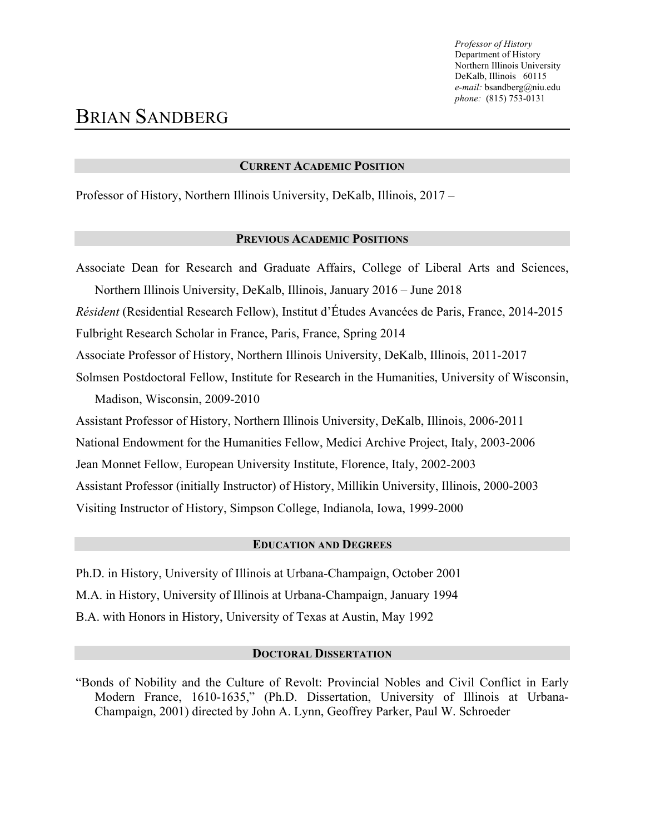### **CURRENT ACADEMIC POSITION**

Professor of History, Northern Illinois University, DeKalb, Illinois, 2017 –

### **PREVIOUS ACADEMIC POSITIONS**

Associate Dean for Research and Graduate Affairs, College of Liberal Arts and Sciences, Northern Illinois University, DeKalb, Illinois, January 2016 – June 2018 *Résident* (Residential Research Fellow), Institut d'Études Avancées de Paris, France, 2014-2015 Fulbright Research Scholar in France, Paris, France, Spring 2014 Associate Professor of History, Northern Illinois University, DeKalb, Illinois, 2011-2017 Solmsen Postdoctoral Fellow, Institute for Research in the Humanities, University of Wisconsin, Madison, Wisconsin, 2009-2010 Assistant Professor of History, Northern Illinois University, DeKalb, Illinois, 2006-2011 National Endowment for the Humanities Fellow, Medici Archive Project, Italy, 2003-2006 Jean Monnet Fellow, European University Institute, Florence, Italy, 2002-2003

Assistant Professor (initially Instructor) of History, Millikin University, Illinois, 2000-2003

Visiting Instructor of History, Simpson College, Indianola, Iowa, 1999-2000

## **EDUCATION AND DEGREES**

Ph.D. in History, University of Illinois at Urbana-Champaign, October 2001 M.A. in History, University of Illinois at Urbana-Champaign, January 1994 B.A. with Honors in History, University of Texas at Austin, May 1992

### **DOCTORAL DISSERTATION**

"Bonds of Nobility and the Culture of Revolt: Provincial Nobles and Civil Conflict in Early Modern France, 1610-1635," (Ph.D. Dissertation, University of Illinois at Urbana-Champaign, 2001) directed by John A. Lynn, Geoffrey Parker, Paul W. Schroeder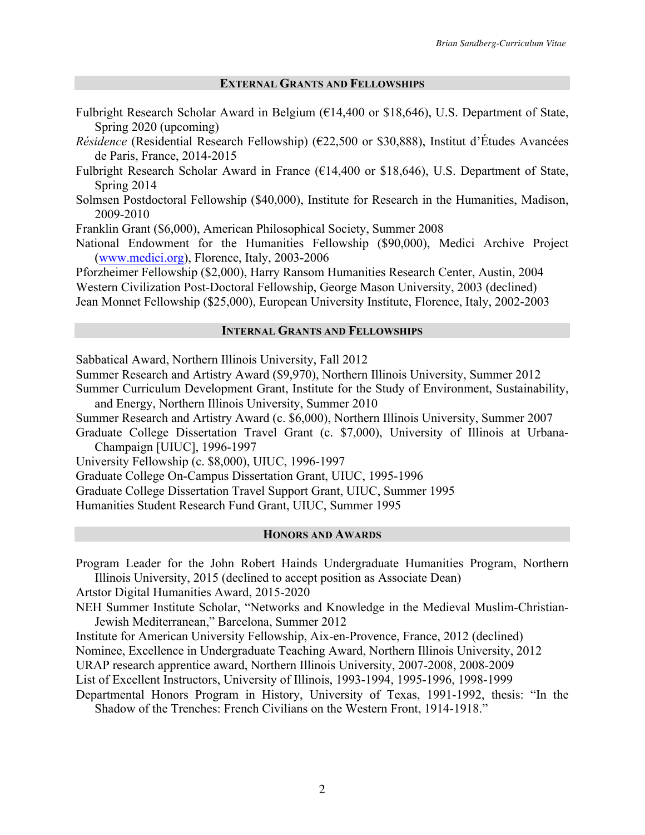### **EXTERNAL GRANTS AND FELLOWSHIPS**

- Fulbright Research Scholar Award in Belgium (€14,400 or \$18,646), U.S. Department of State, Spring 2020 (upcoming)
- *Résidence* (Residential Research Fellowship) (€22,500 or \$30,888), Institut d'Études Avancées de Paris, France, 2014-2015
- Fulbright Research Scholar Award in France ( $E14,400$  or \$18,646), U.S. Department of State, Spring 2014
- Solmsen Postdoctoral Fellowship (\$40,000), Institute for Research in the Humanities, Madison, 2009-2010

Franklin Grant (\$6,000), American Philosophical Society, Summer 2008

National Endowment for the Humanities Fellowship (\$90,000), Medici Archive Project (www.medici.org), Florence, Italy, 2003-2006

Pforzheimer Fellowship (\$2,000), Harry Ransom Humanities Research Center, Austin, 2004 Western Civilization Post-Doctoral Fellowship, George Mason University, 2003 (declined) Jean Monnet Fellowship (\$25,000), European University Institute, Florence, Italy, 2002-2003

## **INTERNAL GRANTS AND FELLOWSHIPS**

Sabbatical Award, Northern Illinois University, Fall 2012

Summer Research and Artistry Award (\$9,970), Northern Illinois University, Summer 2012 Summer Curriculum Development Grant, Institute for the Study of Environment, Sustainability,

and Energy, Northern Illinois University, Summer 2010 Summer Research and Artistry Award (c. \$6,000), Northern Illinois University, Summer 2007

Graduate College Dissertation Travel Grant (c. \$7,000), University of Illinois at Urbana-Champaign [UIUC], 1996-1997

University Fellowship (c. \$8,000), UIUC, 1996-1997

Graduate College On-Campus Dissertation Grant, UIUC, 1995-1996

Graduate College Dissertation Travel Support Grant, UIUC, Summer 1995

Humanities Student Research Fund Grant, UIUC, Summer 1995

### **HONORS AND AWARDS**

Program Leader for the John Robert Hainds Undergraduate Humanities Program, Northern Illinois University, 2015 (declined to accept position as Associate Dean)

Artstor Digital Humanities Award, 2015-2020

NEH Summer Institute Scholar, "Networks and Knowledge in the Medieval Muslim-Christian-Jewish Mediterranean," Barcelona, Summer 2012

Institute for American University Fellowship, Aix-en-Provence, France, 2012 (declined)

Nominee, Excellence in Undergraduate Teaching Award, Northern Illinois University, 2012

URAP research apprentice award, Northern Illinois University, 2007-2008, 2008-2009

List of Excellent Instructors, University of Illinois, 1993-1994, 1995-1996, 1998-1999

Departmental Honors Program in History, University of Texas, 1991-1992, thesis: "In the Shadow of the Trenches: French Civilians on the Western Front, 1914-1918."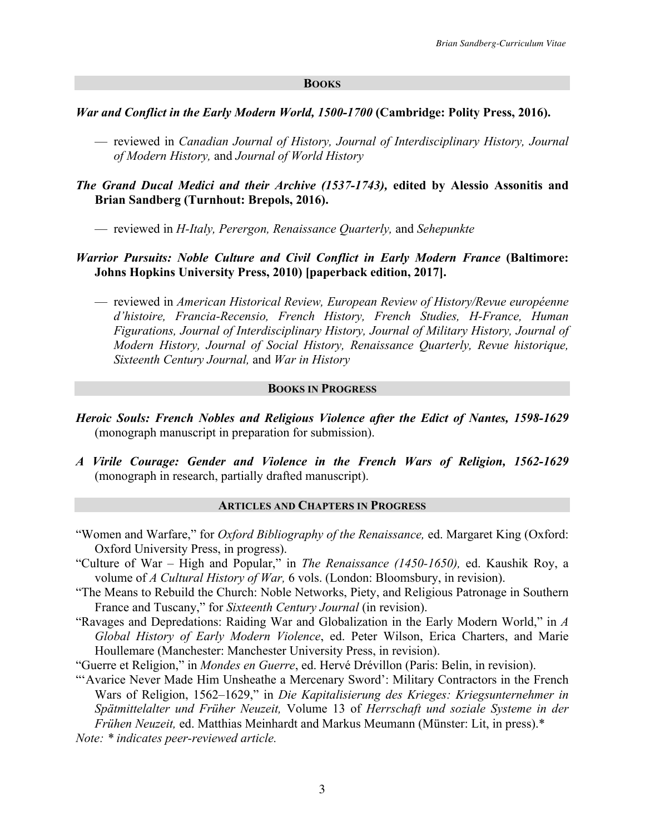#### **BOOKS**

### *War and Conflict in the Early Modern World, 1500-1700* **(Cambridge: Polity Press, 2016).**

- reviewed in *Canadian Journal of History, Journal of Interdisciplinary History, Journal of Modern History,* and *Journal of World History*
- *The Grand Ducal Medici and their Archive (1537-1743),* **edited by Alessio Assonitis and Brian Sandberg (Turnhout: Brepols, 2016).**
	- reviewed in *H-Italy, Perergon, Renaissance Quarterly,* and *Sehepunkte*

## *Warrior Pursuits: Noble Culture and Civil Conflict in Early Modern France (Baltimore:* **Johns Hopkins University Press, 2010) [paperback edition, 2017].**

— reviewed in *American Historical Review, European Review of History/Revue européenne d'histoire, Francia-Recensio, French History, French Studies, H-France, Human Figurations, Journal of Interdisciplinary History, Journal of Military History, Journal of Modern History, Journal of Social History, Renaissance Quarterly, Revue historique, Sixteenth Century Journal,* and *War in History*

### **BOOKS IN PROGRESS**

- *Heroic Souls: French Nobles and Religious Violence after the Edict of Nantes, 1598-1629* (monograph manuscript in preparation for submission).
- *A Virile Courage: Gender and Violence in the French Wars of Religion, 1562-1629* (monograph in research, partially drafted manuscript).

### **ARTICLES AND CHAPTERS IN PROGRESS**

- "Women and Warfare," for *Oxford Bibliography of the Renaissance,* ed. Margaret King (Oxford: Oxford University Press, in progress).
- "Culture of War High and Popular," in *The Renaissance (1450-1650),* ed. Kaushik Roy, a volume of *A Cultural History of War,* 6 vols. (London: Bloomsbury, in revision).
- "The Means to Rebuild the Church: Noble Networks, Piety, and Religious Patronage in Southern France and Tuscany," for *Sixteenth Century Journal* (in revision).
- "Ravages and Depredations: Raiding War and Globalization in the Early Modern World," in *A Global History of Early Modern Violence*, ed. Peter Wilson, Erica Charters, and Marie Houllemare (Manchester: Manchester University Press, in revision).
- "Guerre et Religion," in *Mondes en Guerre*, ed. Hervé Drévillon (Paris: Belin, in revision).
- "'Avarice Never Made Him Unsheathe a Mercenary Sword': Military Contractors in the French Wars of Religion, 1562–1629," in *Die Kapitalisierung des Krieges: Kriegsunternehmer in Spätmittelalter und Früher Neuzeit,* Volume 13 of *Herrschaft und soziale Systeme in der Frühen Neuzeit,* ed. Matthias Meinhardt and Markus Meumann (Münster: Lit, in press).\*
- *Note: \* indicates peer-reviewed article.*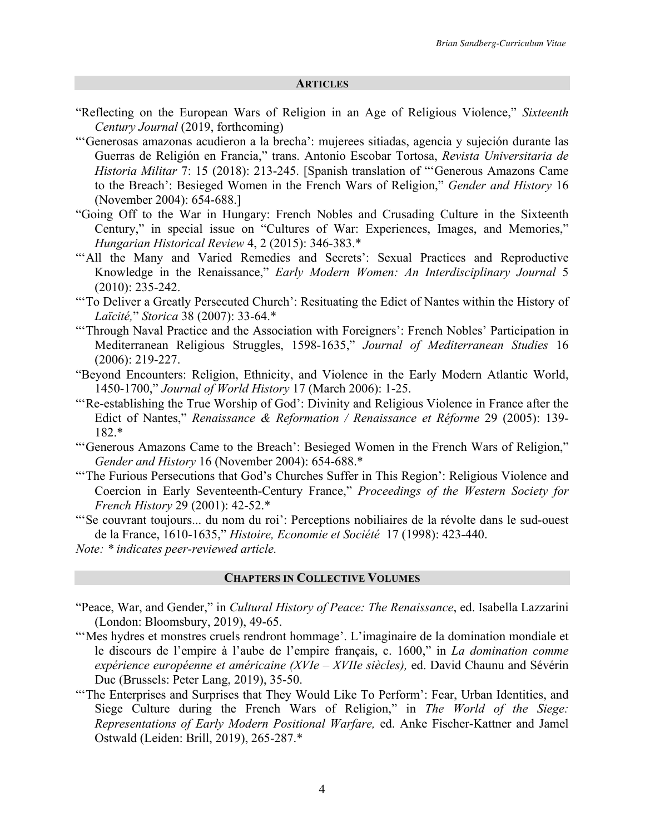#### **ARTICLES**

- "Reflecting on the European Wars of Religion in an Age of Religious Violence," *Sixteenth Century Journal* (2019, forthcoming)
- "'Generosas amazonas acudieron a la brecha': mujerees sitiadas, agencia y sujeción durante las Guerras de Religión en Francia," trans. Antonio Escobar Tortosa, *Revista Universitaria de Historia Militar* 7: 15 (2018): 213-245. [Spanish translation of "'Generous Amazons Came to the Breach': Besieged Women in the French Wars of Religion," *Gender and History* 16 (November 2004): 654-688.]
- "Going Off to the War in Hungary: French Nobles and Crusading Culture in the Sixteenth Century," in special issue on "Cultures of War: Experiences, Images, and Memories," *Hungarian Historical Review* 4, 2 (2015): 346-383.\*
- "'All the Many and Varied Remedies and Secrets': Sexual Practices and Reproductive Knowledge in the Renaissance," *Early Modern Women: An Interdisciplinary Journal* 5 (2010): 235-242.
- "'To Deliver a Greatly Persecuted Church': Resituating the Edict of Nantes within the History of *Laïcité,*" *Storica* 38 (2007): 33-64.\*
- "'Through Naval Practice and the Association with Foreigners': French Nobles' Participation in Mediterranean Religious Struggles, 1598-1635," *Journal of Mediterranean Studies* 16 (2006): 219-227.
- "Beyond Encounters: Religion, Ethnicity, and Violence in the Early Modern Atlantic World, 1450-1700," *Journal of World History* 17 (March 2006): 1-25.
- "'Re-establishing the True Worship of God': Divinity and Religious Violence in France after the Edict of Nantes," *Renaissance & Reformation / Renaissance et Réforme* 29 (2005): 139- 182.\*
- "'Generous Amazons Came to the Breach': Besieged Women in the French Wars of Religion," *Gender and History* 16 (November 2004): 654-688.\*
- "'The Furious Persecutions that God's Churches Suffer in This Region': Religious Violence and Coercion in Early Seventeenth-Century France," *Proceedings of the Western Society for French History* 29 (2001): 42-52.\*
- "'Se couvrant toujours... du nom du roi': Perceptions nobiliaires de la révolte dans le sud-ouest de la France, 1610-1635," *Histoire, Economie et Société* 17 (1998): 423-440.
- *Note: \* indicates peer-reviewed article.*

#### **CHAPTERS IN COLLECTIVE VOLUMES**

- "Peace, War, and Gender," in *Cultural History of Peace: The Renaissance*, ed. Isabella Lazzarini (London: Bloomsbury, 2019), 49-65.
- "'Mes hydres et monstres cruels rendront hommage'. L'imaginaire de la domination mondiale et le discours de l'empire à l'aube de l'empire français, c. 1600," in *La domination comme expérience européenne et américaine (XVIe – XVIIe siècles),* ed. David Chaunu and Sévérin Duc (Brussels: Peter Lang, 2019), 35-50.
- "The Enterprises and Surprises that They Would Like To Perform': Fear, Urban Identities, and Siege Culture during the French Wars of Religion," in *The World of the Siege: Representations of Early Modern Positional Warfare,* ed. Anke Fischer-Kattner and Jamel Ostwald (Leiden: Brill, 2019), 265-287.\*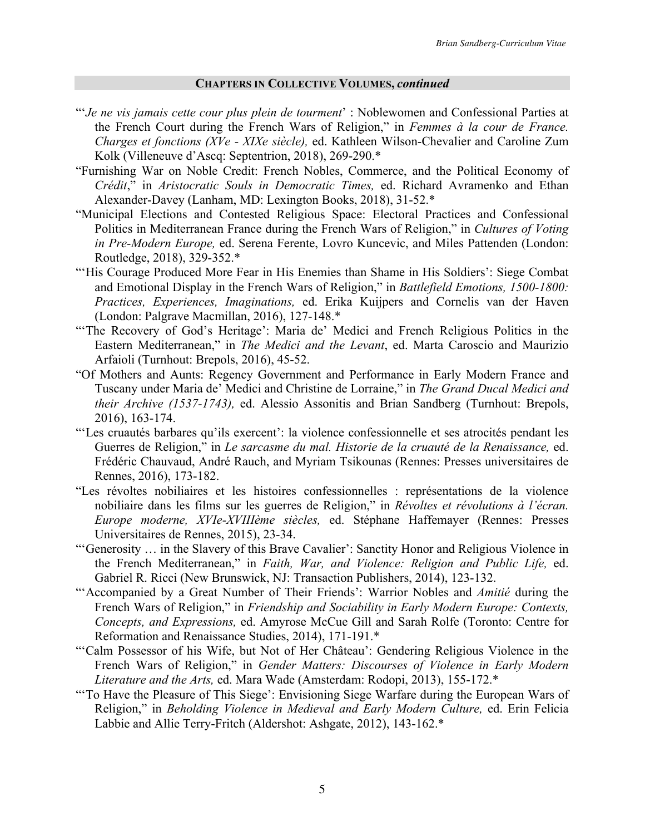#### **CHAPTERS IN COLLECTIVE VOLUMES,** *continued*

- "'*Je ne vis jamais cette cour plus plein de tourment*' : Noblewomen and Confessional Parties at the French Court during the French Wars of Religion," in *Femmes à la cour de France. Charges et fonctions (XVe - XIXe siècle),* ed. Kathleen Wilson-Chevalier and Caroline Zum Kolk (Villeneuve d'Ascq: Septentrion, 2018), 269-290.\*
- "Furnishing War on Noble Credit: French Nobles, Commerce, and the Political Economy of *Crédit*," in *Aristocratic Souls in Democratic Times,* ed. Richard Avramenko and Ethan Alexander-Davey (Lanham, MD: Lexington Books, 2018), 31-52.\*
- "Municipal Elections and Contested Religious Space: Electoral Practices and Confessional Politics in Mediterranean France during the French Wars of Religion," in *Cultures of Voting in Pre-Modern Europe,* ed. Serena Ferente, Lovro Kuncevic, and Miles Pattenden (London: Routledge, 2018), 329-352.\*
- "'His Courage Produced More Fear in His Enemies than Shame in His Soldiers': Siege Combat and Emotional Display in the French Wars of Religion," in *Battlefield Emotions, 1500-1800: Practices, Experiences, Imaginations,* ed. Erika Kuijpers and Cornelis van der Haven (London: Palgrave Macmillan, 2016), 127-148.\*
- "The Recovery of God's Heritage': Maria de' Medici and French Religious Politics in the Eastern Mediterranean," in *The Medici and the Levant*, ed. Marta Caroscio and Maurizio Arfaioli (Turnhout: Brepols, 2016), 45-52.
- "Of Mothers and Aunts: Regency Government and Performance in Early Modern France and Tuscany under Maria de' Medici and Christine de Lorraine," in *The Grand Ducal Medici and their Archive (1537-1743),* ed. Alessio Assonitis and Brian Sandberg (Turnhout: Brepols, 2016), 163-174.
- "'Les cruautés barbares qu'ils exercent': la violence confessionnelle et ses atrocités pendant les Guerres de Religion," in *Le sarcasme du mal. Historie de la cruauté de la Renaissance,* ed. Frédéric Chauvaud, André Rauch, and Myriam Tsikounas (Rennes: Presses universitaires de Rennes, 2016), 173-182.
- "Les révoltes nobiliaires et les histoires confessionnelles : représentations de la violence nobiliaire dans les films sur les guerres de Religion," in *Révoltes et révolutions à l'écran. Europe moderne, XVIe-XVIIIème siècles,* ed. Stéphane Haffemayer (Rennes: Presses Universitaires de Rennes, 2015), 23-34.
- "'Generosity … in the Slavery of this Brave Cavalier': Sanctity Honor and Religious Violence in the French Mediterranean," in *Faith, War, and Violence: Religion and Public Life,* ed. Gabriel R. Ricci (New Brunswick, NJ: Transaction Publishers, 2014), 123-132.
- "'Accompanied by a Great Number of Their Friends': Warrior Nobles and *Amitié* during the French Wars of Religion," in *Friendship and Sociability in Early Modern Europe: Contexts, Concepts, and Expressions,* ed. Amyrose McCue Gill and Sarah Rolfe (Toronto: Centre for Reformation and Renaissance Studies, 2014), 171-191.\*
- "'Calm Possessor of his Wife, but Not of Her Château': Gendering Religious Violence in the French Wars of Religion," in *Gender Matters: Discourses of Violence in Early Modern Literature and the Arts,* ed. Mara Wade (Amsterdam: Rodopi, 2013), 155-172.\*
- "'To Have the Pleasure of This Siege': Envisioning Siege Warfare during the European Wars of Religion," in *Beholding Violence in Medieval and Early Modern Culture,* ed. Erin Felicia Labbie and Allie Terry-Fritch (Aldershot: Ashgate, 2012), 143-162.\*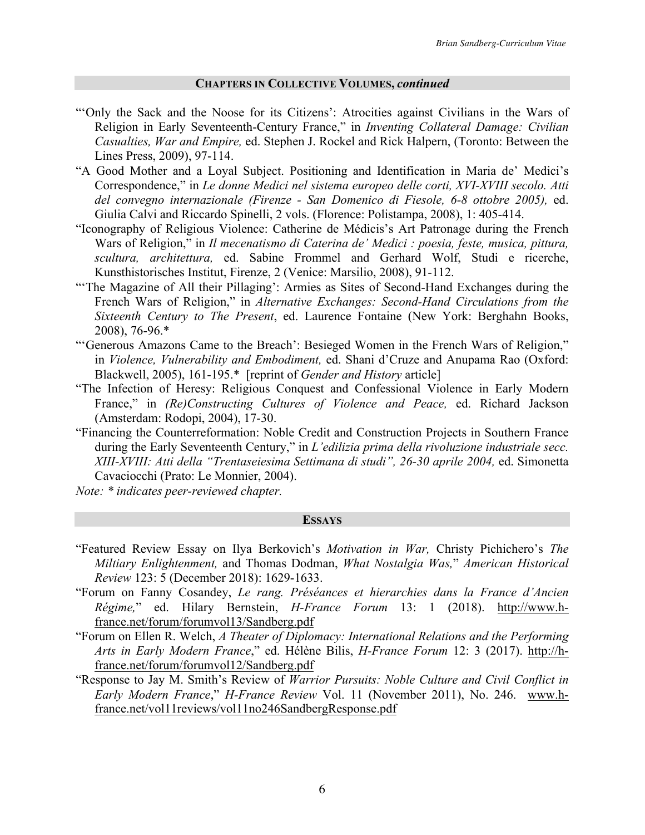#### **CHAPTERS IN COLLECTIVE VOLUMES,** *continued*

- "'Only the Sack and the Noose for its Citizens': Atrocities against Civilians in the Wars of Religion in Early Seventeenth-Century France," in *Inventing Collateral Damage: Civilian Casualties, War and Empire,* ed. Stephen J. Rockel and Rick Halpern, (Toronto: Between the Lines Press, 2009), 97-114.
- "A Good Mother and a Loyal Subject. Positioning and Identification in Maria de' Medici's Correspondence," in *Le donne Medici nel sistema europeo delle corti, XVI-XVIII secolo. Atti del convegno internazionale (Firenze - San Domenico di Fiesole, 6-8 ottobre 2005),* ed. Giulia Calvi and Riccardo Spinelli, 2 vols. (Florence: Polistampa, 2008), 1: 405-414.
- "Iconography of Religious Violence: Catherine de Médicis's Art Patronage during the French Wars of Religion," in *Il mecenatismo di Caterina de' Medici : poesia, feste, musica, pittura, scultura, architettura,* ed. Sabine Frommel and Gerhard Wolf, Studi e ricerche, Kunsthistorisches Institut, Firenze, 2 (Venice: Marsilio, 2008), 91-112.
- "'The Magazine of All their Pillaging': Armies as Sites of Second-Hand Exchanges during the French Wars of Religion," in *Alternative Exchanges: Second-Hand Circulations from the Sixteenth Century to The Present*, ed. Laurence Fontaine (New York: Berghahn Books, 2008), 76-96.\*
- "'Generous Amazons Came to the Breach': Besieged Women in the French Wars of Religion," in *Violence, Vulnerability and Embodiment,* ed. Shani d'Cruze and Anupama Rao (Oxford: Blackwell, 2005), 161-195.\* [reprint of *Gender and History* article]
- "The Infection of Heresy: Religious Conquest and Confessional Violence in Early Modern France," in *(Re)Constructing Cultures of Violence and Peace,* ed. Richard Jackson (Amsterdam: Rodopi, 2004), 17-30.
- "Financing the Counterreformation: Noble Credit and Construction Projects in Southern France during the Early Seventeenth Century," in *L'edilizia prima della rivoluzione industriale secc. XIII-XVIII: Atti della "Trentaseiesima Settimana di studi", 26-30 aprile 2004,* ed. Simonetta Cavaciocchi (Prato: Le Monnier, 2004).
- *Note: \* indicates peer-reviewed chapter.*

#### **ESSAYS**

- "Featured Review Essay on Ilya Berkovich's *Motivation in War,* Christy Pichichero's *The Miltiary Enlightenment,* and Thomas Dodman, *What Nostalgia Was,*" *American Historical Review* 123: 5 (December 2018): 1629-1633.
- "Forum on Fanny Cosandey, *Le rang. Préséances et hierarchies dans la France d'Ancien Régime,*" ed. Hilary Bernstein, *H-France Forum* 13: 1 (2018). http://www.hfrance.net/forum/forumvol13/Sandberg.pdf
- "Forum on Ellen R. Welch, *A Theater of Diplomacy: International Relations and the Performing Arts in Early Modern France*," ed. Hélène Bilis, *H-France Forum* 12: 3 (2017). http://hfrance.net/forum/forumvol12/Sandberg.pdf
- "Response to Jay M. Smith's Review of *Warrior Pursuits: Noble Culture and Civil Conflict in Early Modern France*," *H-France Review* Vol. 11 (November 2011), No. 246. www.hfrance.net/vol11reviews/vol11no246SandbergResponse.pdf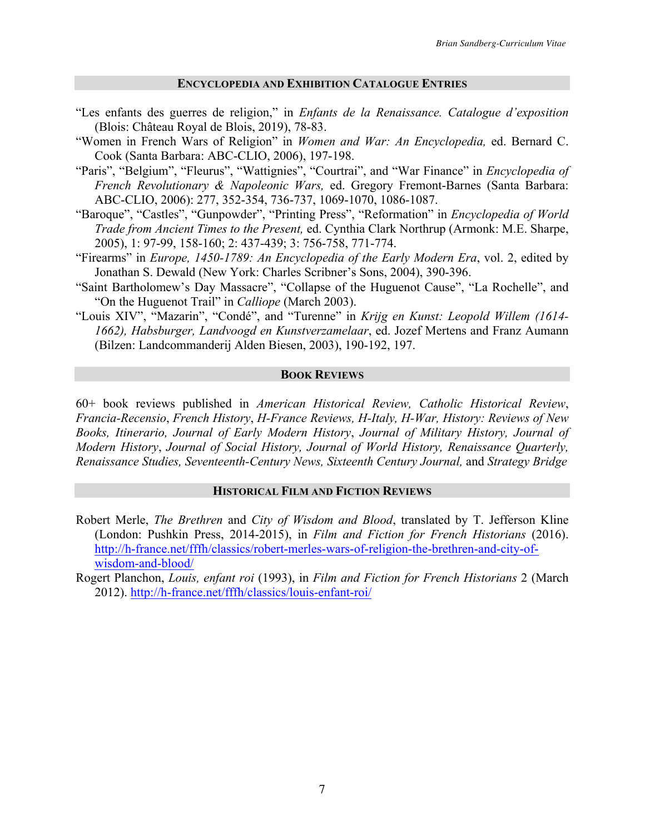#### **ENCYCLOPEDIA AND EXHIBITION CATALOGUE ENTRIES**

- "Les enfants des guerres de religion," in *Enfants de la Renaissance. Catalogue d'exposition* (Blois: Château Royal de Blois, 2019), 78-83.
- "Women in French Wars of Religion" in *Women and War: An Encyclopedia,* ed. Bernard C. Cook (Santa Barbara: ABC-CLIO, 2006), 197-198.
- "Paris", "Belgium", "Fleurus", "Wattignies", "Courtrai", and "War Finance" in *Encyclopedia of French Revolutionary & Napoleonic Wars,* ed. Gregory Fremont-Barnes (Santa Barbara: ABC-CLIO, 2006): 277, 352-354, 736-737, 1069-1070, 1086-1087.
- "Baroque", "Castles", "Gunpowder", "Printing Press", "Reformation" in *Encyclopedia of World Trade from Ancient Times to the Present,* ed. Cynthia Clark Northrup (Armonk: M.E. Sharpe, 2005), 1: 97-99, 158-160; 2: 437-439; 3: 756-758, 771-774.
- "Firearms" in *Europe, 1450-1789: An Encyclopedia of the Early Modern Era*, vol. 2, edited by Jonathan S. Dewald (New York: Charles Scribner's Sons, 2004), 390-396.
- "Saint Bartholomew's Day Massacre", "Collapse of the Huguenot Cause", "La Rochelle", and "On the Huguenot Trail" in *Calliope* (March 2003).
- "Louis XIV", "Mazarin", "Condé", and "Turenne" in *Krijg en Kunst: Leopold Willem (1614- 1662), Habsburger, Landvoogd en Kunstverzamelaar*, ed. Jozef Mertens and Franz Aumann (Bilzen: Landcommanderij Alden Biesen, 2003), 190-192, 197.

#### **BOOK REVIEWS**

60+ book reviews published in *American Historical Review, Catholic Historical Review*, *Francia-Recensio*, *French History*, *H-France Reviews, H-Italy, H-War, History: Reviews of New Books, Itinerario, Journal of Early Modern History*, *Journal of Military History, Journal of Modern History*, *Journal of Social History, Journal of World History, Renaissance Quarterly, Renaissance Studies, Seventeenth-Century News, Sixteenth Century Journal,* and *Strategy Bridge*

#### **HISTORICAL FILM AND FICTION REVIEWS**

- Robert Merle, *The Brethren* and *City of Wisdom and Blood*, translated by T. Jefferson Kline (London: Pushkin Press, 2014-2015), in *Film and Fiction for French Historians* (2016). http://h-france.net/fffh/classics/robert-merles-wars-of-religion-the-brethren-and-city-ofwisdom-and-blood/
- Rogert Planchon, *Louis, enfant roi* (1993), in *Film and Fiction for French Historians* 2 (March 2012). http://h-france.net/fffh/classics/louis-enfant-roi/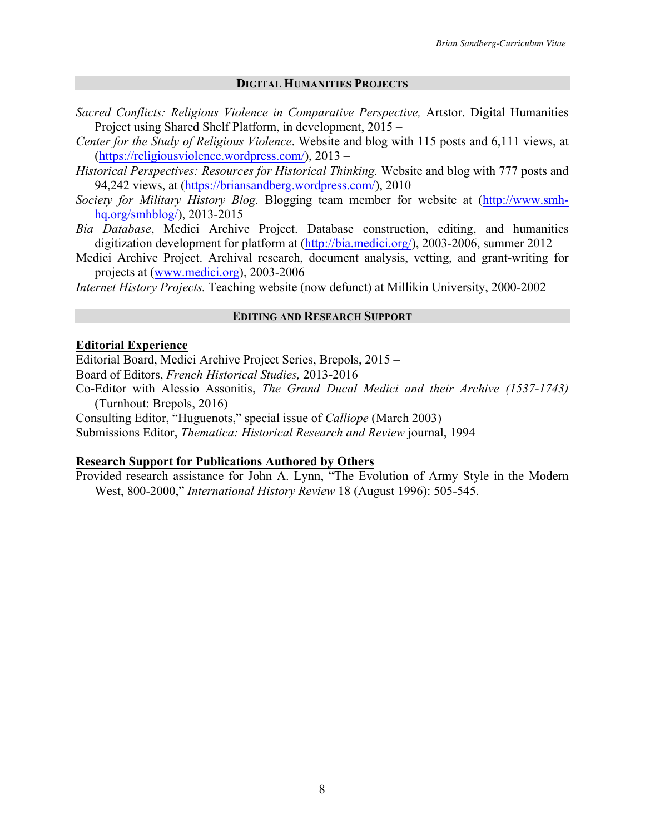### **DIGITAL HUMANITIES PROJECTS**

- *Sacred Conflicts: Religious Violence in Comparative Perspective,* Artstor. Digital Humanities Project using Shared Shelf Platform, in development, 2015 –
- *Center for the Study of Religious Violence*. Website and blog with 115 posts and 6,111 views, at (https://religiousviolence.wordpress.com/), 2013 –
- *Historical Perspectives: Resources for Historical Thinking.* Website and blog with 777 posts and 94,242 views, at (https://briansandberg.wordpress.com/), 2010 –
- *Society for Military History Blog.* Blogging team member for website at (http://www.smhhq.org/smhblog/), 2013-2015
- *Bía Database*, Medici Archive Project. Database construction, editing, and humanities digitization development for platform at (http://bia.medici.org/), 2003-2006, summer 2012
- Medici Archive Project. Archival research, document analysis, vetting, and grant-writing for projects at (www.medici.org), 2003-2006

*Internet History Projects.* Teaching website (now defunct) at Millikin University, 2000-2002

### **EDITING AND RESEARCH SUPPORT**

### **Editorial Experience**

Editorial Board, Medici Archive Project Series, Brepols, 2015 – Board of Editors, *French Historical Studies,* 2013-2016 Co-Editor with Alessio Assonitis, *The Grand Ducal Medici and their Archive (1537-1743)* 

(Turnhout: Brepols, 2016)

Consulting Editor, "Huguenots," special issue of *Calliope* (March 2003)

Submissions Editor, *Thematica: Historical Research and Review* journal, 1994

### **Research Support for Publications Authored by Others**

Provided research assistance for John A. Lynn, "The Evolution of Army Style in the Modern West, 800-2000," *International History Review* 18 (August 1996): 505-545.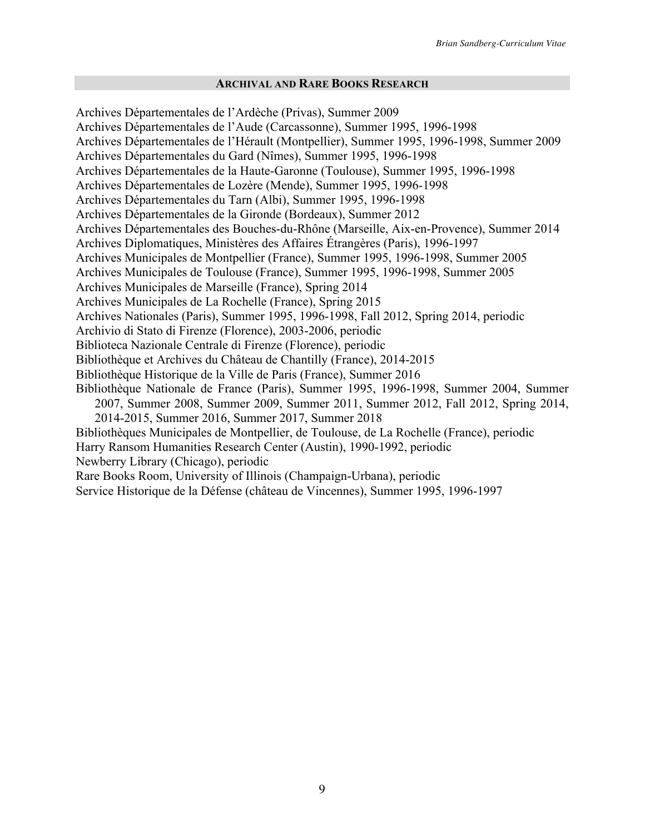### **ARCHIVAL AND RARE BOOKS RESEARCH**

Archives Départementales de l'Ardèche (Privas), Summer 2009 Archives Départementales de l'Aude (Carcassonne), Summer 1995, 1996-1998 Archives Départementales de l'Hérault (Montpellier), Summer 1995, 1996-1998, Summer 2009 Archives Départementales du Gard (Nîmes), Summer 1995, 1996-1998 Archives Départementales de la Haute-Garonne (Toulouse), Summer 1995, 1996-1998 Archives Départementales de Lozère (Mende), Summer 1995, 1996-1998 Archives Départementales du Tarn (Albi), Summer 1995, 1996-1998 Archives Départementales de la Gironde (Bordeaux), Summer 2012 Archives Départementales des Bouches-du-Rhône (Marseille, Aix-en-Provence), Summer 2014 Archives Diplomatiques, Ministères des Affaires Étrangères (Paris), 1996-1997 Archives Municipales de Montpellier (France), Summer 1995, 1996-1998, Summer 2005 Archives Municipales de Toulouse (France), Summer 1995, 1996-1998, Summer 2005 Archives Municipales de Marseille (France), Spring 2014 Archives Municipales de La Rochelle (France), Spring 2015 Archives Nationales (Paris), Summer 1995, 1996-1998, Fall 2012, Spring 2014, periodic Archivio di Stato di Firenze (Florence), 2003-2006, periodic Biblioteca Nazionale Centrale di Firenze (Florence), periodic Bibliothèque et Archives du Château de Chantilly (France), 2014-2015 Bibliothèque Historique de la Ville de Paris (France), Summer 2016 Bibliothèque Nationale de France (Paris), Summer 1995, 1996-1998, Summer 2004, Summer 2007, Summer 2008, Summer 2009, Summer 2011, Summer 2012, Fall 2012, Spring 2014, 2014-2015, Summer 2016, Summer 2017, Summer 2018 Bibliothèques Municipales de Montpellier, de Toulouse, de La Rochelle (France), periodic Harry Ransom Humanities Research Center (Austin), 1990-1992, periodic

Newberry Library (Chicago), periodic

Rare Books Room, University of Illinois (Champaign-Urbana), periodic

Service Historique de la Défense (château de Vincennes), Summer 1995, 1996-1997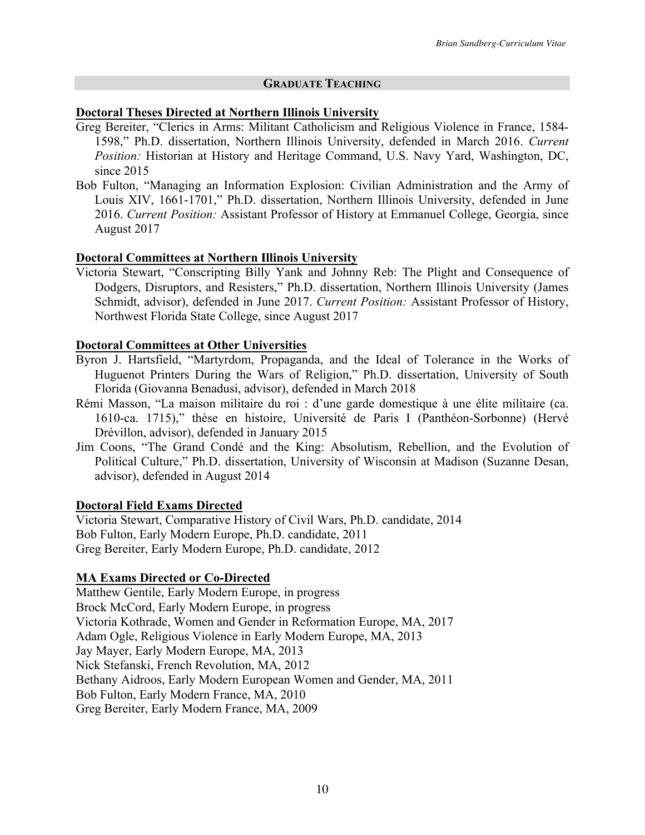# **GRADUATE TEACHING**

## **Doctoral Theses Directed at Northern Illinois University**

- Greg Bereiter, "Clerics in Arms: Militant Catholicism and Religious Violence in France, 1584- 1598," Ph.D. dissertation, Northern Illinois University, defended in March 2016. *Current Position:* Historian at History and Heritage Command, U.S. Navy Yard, Washington, DC, since 2015
- Bob Fulton, "Managing an Information Explosion: Civilian Administration and the Army of Louis XIV, 1661-1701," Ph.D. dissertation, Northern Illinois University, defended in June 2016. *Current Position:* Assistant Professor of History at Emmanuel College, Georgia, since August 2017

# **Doctoral Committees at Northern Illinois University**

Victoria Stewart, "Conscripting Billy Yank and Johnny Reb: The Plight and Consequence of Dodgers, Disruptors, and Resisters," Ph.D. dissertation, Northern Illinois University (James Schmidt, advisor), defended in June 2017. *Current Position:* Assistant Professor of History, Northwest Florida State College, since August 2017

## **Doctoral Committees at Other Universities**

- Byron J. Hartsfield, "Martyrdom, Propaganda, and the Ideal of Tolerance in the Works of Huguenot Printers During the Wars of Religion," Ph.D. dissertation, University of South Florida (Giovanna Benadusi, advisor), defended in March 2018
- Rémi Masson, "La maison militaire du roi : d'une garde domestique à une élite militaire (ca. 1610-ca. 1715)," thèse en histoire, Université de Paris I (Panthéon-Sorbonne) (Hervé Drévillon, advisor), defended in January 2015
- Jim Coons, "The Grand Condé and the King: Absolutism, Rebellion, and the Evolution of Political Culture," Ph.D. dissertation, University of Wisconsin at Madison (Suzanne Desan, advisor), defended in August 2014

## **Doctoral Field Exams Directed**

Victoria Stewart, Comparative History of Civil Wars, Ph.D. candidate, 2014 Bob Fulton, Early Modern Europe, Ph.D. candidate, 2011 Greg Bereiter, Early Modern Europe, Ph.D. candidate, 2012

# **MA Exams Directed or Co-Directed**

Matthew Gentile, Early Modern Europe, in progress Brock McCord, Early Modern Europe, in progress Victoria Kothrade, Women and Gender in Reformation Europe, MA, 2017 Adam Ogle, Religious Violence in Early Modern Europe, MA, 2013 Jay Mayer, Early Modern Europe, MA, 2013 Nick Stefanski, French Revolution, MA, 2012 Bethany Aidroos, Early Modern European Women and Gender, MA, 2011 Bob Fulton, Early Modern France, MA, 2010 Greg Bereiter, Early Modern France, MA, 2009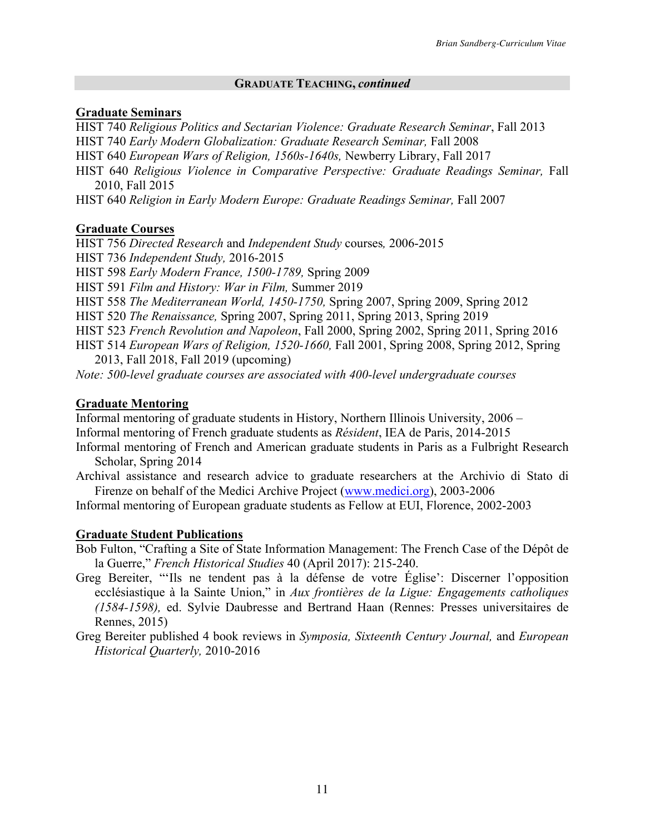### **GRADUATE TEACHING,** *continued*

## **Graduate Seminars**

HIST 740 *Religious Politics and Sectarian Violence: Graduate Research Seminar*, Fall 2013 HIST 740 *Early Modern Globalization: Graduate Research Seminar,* Fall 2008 HIST 640 *European Wars of Religion, 1560s-1640s,* Newberry Library, Fall 2017 HIST 640 *Religious Violence in Comparative Perspective: Graduate Readings Seminar, Fall* 

2010, Fall 2015

HIST 640 *Religion in Early Modern Europe: Graduate Readings Seminar,* Fall 2007

## **Graduate Courses**

HIST 756 *Directed Research* and *Independent Study* courses*,* 2006-2015 HIST 736 *Independent Study,* 2016-2015 HIST 598 *Early Modern France, 1500-1789,* Spring 2009 HIST 591 *Film and History: War in Film,* Summer 2019 HIST 558 *The Mediterranean World, 1450-1750,* Spring 2007, Spring 2009, Spring 2012 HIST 520 *The Renaissance,* Spring 2007, Spring 2011, Spring 2013, Spring 2019 HIST 523 *French Revolution and Napoleon*, Fall 2000, Spring 2002, Spring 2011, Spring 2016 HIST 514 *European Wars of Religion, 1520-1660,* Fall 2001, Spring 2008, Spring 2012, Spring 2013, Fall 2018, Fall 2019 (upcoming) *Note: 500-level graduate courses are associated with 400-level undergraduate courses*

# **Graduate Mentoring**

Informal mentoring of graduate students in History, Northern Illinois University, 2006 – Informal mentoring of French graduate students as *Résident*, IEA de Paris, 2014-2015

Informal mentoring of French and American graduate students in Paris as a Fulbright Research Scholar, Spring 2014

Archival assistance and research advice to graduate researchers at the Archivio di Stato di Firenze on behalf of the Medici Archive Project (www.medici.org), 2003-2006

Informal mentoring of European graduate students as Fellow at EUI, Florence, 2002-2003

## **Graduate Student Publications**

Bob Fulton, "Crafting a Site of State Information Management: The French Case of the Dépôt de la Guerre," *French Historical Studies* 40 (April 2017): 215-240.

- Greg Bereiter, "'Ils ne tendent pas à la défense de votre Église': Discerner l'opposition ecclésiastique à la Sainte Union," in *Aux frontières de la Ligue: Engagements catholiques (1584-1598),* ed. Sylvie Daubresse and Bertrand Haan (Rennes: Presses universitaires de Rennes, 2015)
- Greg Bereiter published 4 book reviews in *Symposia, Sixteenth Century Journal,* and *European Historical Quarterly,* 2010-2016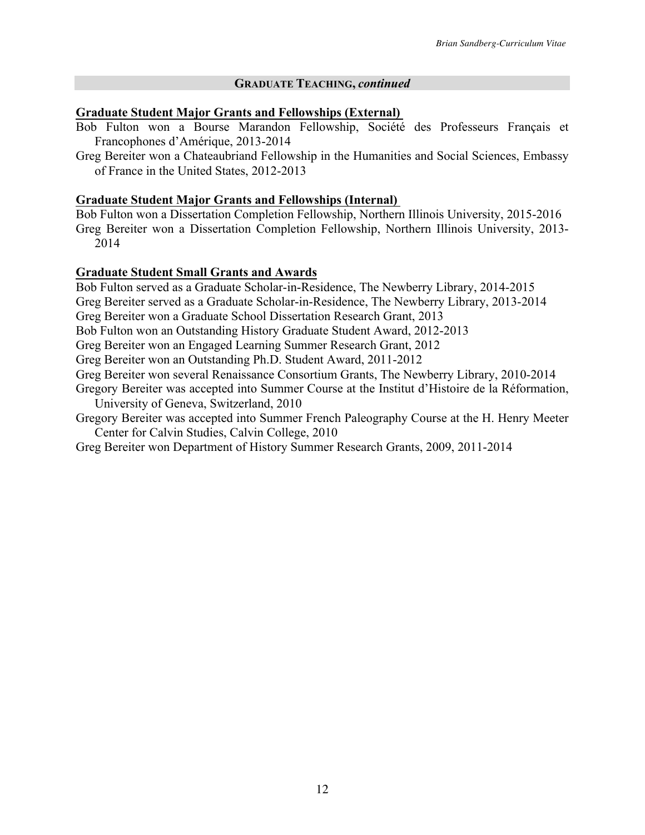### **GRADUATE TEACHING,** *continued*

### **Graduate Student Major Grants and Fellowships (External)**

- Bob Fulton won a Bourse Marandon Fellowship, Société des Professeurs Français et Francophones d'Amérique, 2013-2014
- Greg Bereiter won a Chateaubriand Fellowship in the Humanities and Social Sciences, Embassy of France in the United States, 2012-2013

### **Graduate Student Major Grants and Fellowships (Internal)**

Bob Fulton won a Dissertation Completion Fellowship, Northern Illinois University, 2015-2016 Greg Bereiter won a Dissertation Completion Fellowship, Northern Illinois University, 2013- 2014

## **Graduate Student Small Grants and Awards**

Bob Fulton served as a Graduate Scholar-in-Residence, The Newberry Library, 2014-2015 Greg Bereiter served as a Graduate Scholar-in-Residence, The Newberry Library, 2013-2014 Greg Bereiter won a Graduate School Dissertation Research Grant, 2013 Bob Fulton won an Outstanding History Graduate Student Award, 2012-2013 Greg Bereiter won an Engaged Learning Summer Research Grant, 2012 Greg Bereiter won an Outstanding Ph.D. Student Award, 2011-2012 Greg Bereiter won several Renaissance Consortium Grants, The Newberry Library, 2010-2014 Gregory Bereiter was accepted into Summer Course at the Institut d'Histoire de la Réformation, University of Geneva, Switzerland, 2010 Gregory Bereiter was accepted into Summer French Paleography Course at the H. Henry Meeter

Center for Calvin Studies, Calvin College, 2010

Greg Bereiter won Department of History Summer Research Grants, 2009, 2011-2014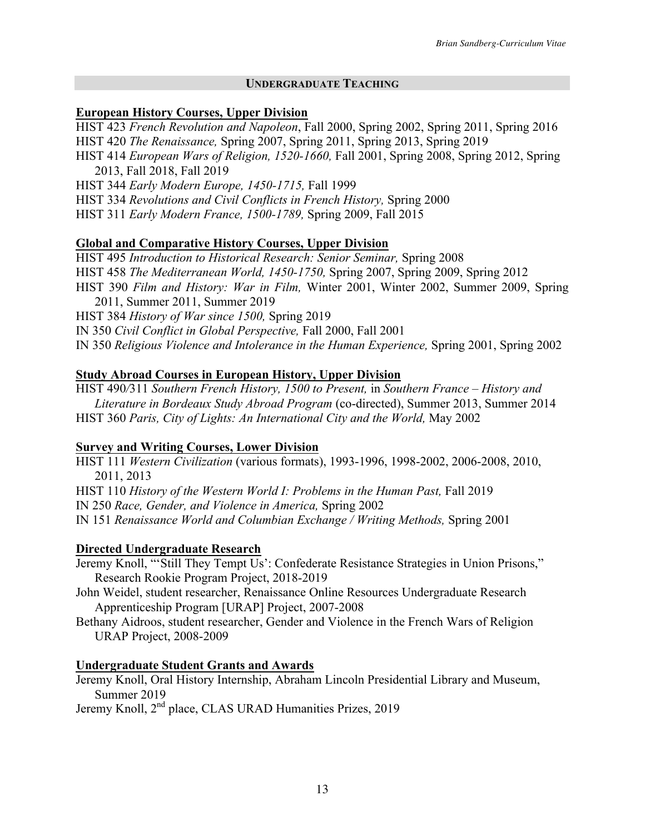## **UNDERGRADUATE TEACHING**

## **European History Courses, Upper Division**

HIST 423 *French Revolution and Napoleon*, Fall 2000, Spring 2002, Spring 2011, Spring 2016 HIST 420 *The Renaissance,* Spring 2007, Spring 2011, Spring 2013, Spring 2019

HIST 414 *European Wars of Religion, 1520-1660,* Fall 2001, Spring 2008, Spring 2012, Spring 2013, Fall 2018, Fall 2019

HIST 344 *Early Modern Europe, 1450-1715,* Fall 1999

HIST 334 *Revolutions and Civil Conflicts in French History,* Spring 2000

HIST 311 *Early Modern France, 1500-1789,* Spring 2009, Fall 2015

## **Global and Comparative History Courses, Upper Division**

HIST 495 *Introduction to Historical Research: Senior Seminar,* Spring 2008 HIST 458 *The Mediterranean World, 1450-1750,* Spring 2007, Spring 2009, Spring 2012 HIST 390 *Film and History: War in Film,* Winter 2001, Winter 2002, Summer 2009, Spring

2011, Summer 2011, Summer 2019 HIST 384 *History of War since 1500,* Spring 2019

IN 350 *Civil Conflict in Global Perspective,* Fall 2000, Fall 2001

IN 350 *Religious Violence and Intolerance in the Human Experience,* Spring 2001, Spring 2002

## **Study Abroad Courses in European History, Upper Division**

HIST 490*/*311 *Southern French History, 1500 to Present,* in *Southern France – History and Literature in Bordeaux Study Abroad Program* (co-directed), Summer 2013, Summer 2014 HIST 360 *Paris, City of Lights: An International City and the World,* May 2002

## **Survey and Writing Courses, Lower Division**

HIST 111 *Western Civilization* (various formats), 1993-1996, 1998-2002, 2006-2008, 2010, 2011, 2013

HIST 110 *History of the Western World I: Problems in the Human Past, Fall 2019* 

IN 250 *Race, Gender, and Violence in America,* Spring 2002

IN 151 *Renaissance World and Columbian Exchange / Writing Methods,* Spring 2001

## **Directed Undergraduate Research**

Jeremy Knoll, "'Still They Tempt Us': Confederate Resistance Strategies in Union Prisons," Research Rookie Program Project, 2018-2019

John Weidel, student researcher, Renaissance Online Resources Undergraduate Research Apprenticeship Program [URAP] Project, 2007-2008

Bethany Aidroos, student researcher, Gender and Violence in the French Wars of Religion URAP Project, 2008-2009

### **Undergraduate Student Grants and Awards**

Jeremy Knoll, Oral History Internship, Abraham Lincoln Presidential Library and Museum, Summer 2019

Jeremy Knoll, 2nd place, CLAS URAD Humanities Prizes, 2019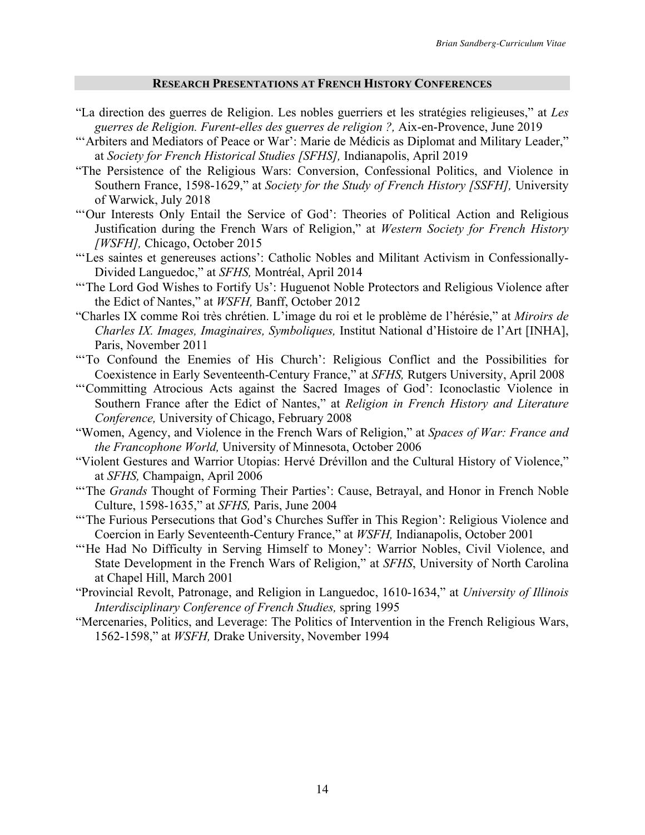### **RESEARCH PRESENTATIONS AT FRENCH HISTORY CONFERENCES**

- "La direction des guerres de Religion. Les nobles guerriers et les stratégies religieuses," at *Les guerres de Religion. Furent-elles des guerres de religion ?,* Aix-en-Provence, June 2019
- "'Arbiters and Mediators of Peace or War': Marie de Médicis as Diplomat and Military Leader," at *Society for French Historical Studies [SFHS],* Indianapolis, April 2019
- "The Persistence of the Religious Wars: Conversion, Confessional Politics, and Violence in Southern France, 1598-1629," at *Society for the Study of French History [SSFH],* University of Warwick, July 2018
- "'Our Interests Only Entail the Service of God': Theories of Political Action and Religious Justification during the French Wars of Religion," at *Western Society for French History [WSFH],* Chicago, October 2015
- "'Les saintes et genereuses actions': Catholic Nobles and Militant Activism in Confessionally-Divided Languedoc," at *SFHS,* Montréal, April 2014
- "The Lord God Wishes to Fortify Us': Huguenot Noble Protectors and Religious Violence after the Edict of Nantes," at *WSFH,* Banff, October 2012
- "Charles IX comme Roi très chrétien. L'image du roi et le problème de l'hérésie," at *Miroirs de Charles IX. Images, Imaginaires, Symboliques,* Institut National d'Histoire de l'Art [INHA], Paris, November 2011
- "'To Confound the Enemies of His Church': Religious Conflict and the Possibilities for Coexistence in Early Seventeenth-Century France," at *SFHS,* Rutgers University, April 2008
- "'Committing Atrocious Acts against the Sacred Images of God': Iconoclastic Violence in Southern France after the Edict of Nantes," at *Religion in French History and Literature Conference,* University of Chicago, February 2008
- "Women, Agency, and Violence in the French Wars of Religion," at *Spaces of War: France and the Francophone World,* University of Minnesota, October 2006
- "Violent Gestures and Warrior Utopias: Hervé Drévillon and the Cultural History of Violence," at *SFHS,* Champaign, April 2006
- "The *Grands* Thought of Forming Their Parties': Cause, Betrayal, and Honor in French Noble Culture, 1598-1635," at *SFHS,* Paris, June 2004
- "The Furious Persecutions that God's Churches Suffer in This Region': Religious Violence and Coercion in Early Seventeenth-Century France," at *WSFH,* Indianapolis, October 2001
- "He Had No Difficulty in Serving Himself to Money': Warrior Nobles, Civil Violence, and State Development in the French Wars of Religion," at *SFHS*, University of North Carolina at Chapel Hill, March 2001
- "Provincial Revolt, Patronage, and Religion in Languedoc, 1610-1634," at *University of Illinois Interdisciplinary Conference of French Studies,* spring 1995
- "Mercenaries, Politics, and Leverage: The Politics of Intervention in the French Religious Wars, 1562-1598," at *WSFH,* Drake University, November 1994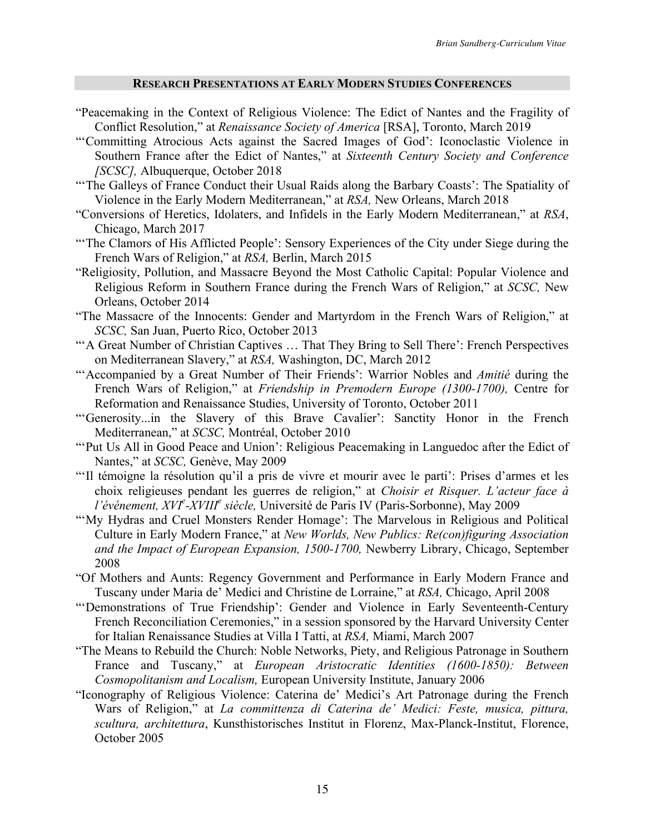#### **RESEARCH PRESENTATIONS AT EARLY MODERN STUDIES CONFERENCES**

- "Peacemaking in the Context of Religious Violence: The Edict of Nantes and the Fragility of Conflict Resolution," at *Renaissance Society of America* [RSA], Toronto, March 2019
- "'Committing Atrocious Acts against the Sacred Images of God': Iconoclastic Violence in Southern France after the Edict of Nantes," at *Sixteenth Century Society and Conference [SCSC],* Albuquerque, October 2018
- "The Galleys of France Conduct their Usual Raids along the Barbary Coasts': The Spatiality of Violence in the Early Modern Mediterranean," at *RSA,* New Orleans, March 2018
- "Conversions of Heretics, Idolaters, and Infidels in the Early Modern Mediterranean," at *RSA*, Chicago, March 2017
- "The Clamors of His Afflicted People': Sensory Experiences of the City under Siege during the French Wars of Religion," at *RSA,* Berlin, March 2015
- "Religiosity, Pollution, and Massacre Beyond the Most Catholic Capital: Popular Violence and Religious Reform in Southern France during the French Wars of Religion," at *SCSC,* New Orleans, October 2014
- "The Massacre of the Innocents: Gender and Martyrdom in the French Wars of Religion," at *SCSC,* San Juan, Puerto Rico, October 2013
- "'A Great Number of Christian Captives … That They Bring to Sell There': French Perspectives on Mediterranean Slavery," at *RSA,* Washington, DC, March 2012
- "'Accompanied by a Great Number of Their Friends': Warrior Nobles and *Amitié* during the French Wars of Religion," at *Friendship in Premodern Europe (1300-1700),* Centre for Reformation and Renaissance Studies, University of Toronto, October 2011
- "'Generosity...in the Slavery of this Brave Cavalier': Sanctity Honor in the French Mediterranean," at *SCSC,* Montréal, October 2010
- "'Put Us All in Good Peace and Union': Religious Peacemaking in Languedoc after the Edict of Nantes," at *SCSC,* Genève, May 2009
- "'Il témoigne la résolution qu'il a pris de vivre et mourir avec le parti': Prises d'armes et les choix religieuses pendant les guerres de religion," at *Choisir et Risquer. L'acteur face à l'événement, XVI<sup>e</sup> -XVIII<sup>e</sup> siècle,* Université de Paris IV (Paris-Sorbonne), May 2009
- "'My Hydras and Cruel Monsters Render Homage': The Marvelous in Religious and Political Culture in Early Modern France," at *New Worlds, New Publics: Re(con)figuring Association and the Impact of European Expansion, 1500-1700,* Newberry Library, Chicago, September 2008
- "Of Mothers and Aunts: Regency Government and Performance in Early Modern France and Tuscany under Maria de' Medici and Christine de Lorraine," at *RSA,* Chicago, April 2008
- "'Demonstrations of True Friendship': Gender and Violence in Early Seventeenth-Century French Reconciliation Ceremonies," in a session sponsored by the Harvard University Center for Italian Renaissance Studies at Villa I Tatti, at *RSA,* Miami, March 2007
- "The Means to Rebuild the Church: Noble Networks, Piety, and Religious Patronage in Southern France and Tuscany," at *European Aristocratic Identities (1600-1850): Between Cosmopolitanism and Localism,* European University Institute, January 2006
- "Iconography of Religious Violence: Caterina de' Medici's Art Patronage during the French Wars of Religion," at *La committenza di Caterina de' Medici: Feste, musica, pittura, scultura, architettura*, Kunsthistorisches Institut in Florenz, Max-Planck-Institut, Florence, October 2005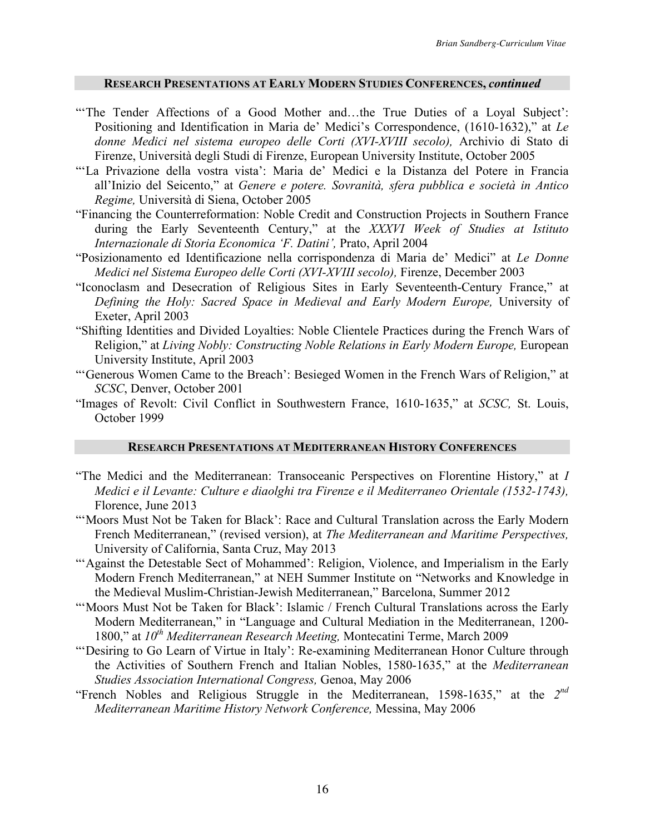#### **RESEARCH PRESENTATIONS AT EARLY MODERN STUDIES CONFERENCES,** *continued*

- "The Tender Affections of a Good Mother and...the True Duties of a Loyal Subject': Positioning and Identification in Maria de' Medici's Correspondence, (1610-1632)," at *Le donne Medici nel sistema europeo delle Corti (XVI-XVIII secolo),* Archivio di Stato di Firenze, Università degli Studi di Firenze, European University Institute, October 2005
- "'La Privazione della vostra vista': Maria de' Medici e la Distanza del Potere in Francia all'Inizio del Seicento," at *Genere e potere. Sovranità, sfera pubblica e società in Antico Regime,* Università di Siena, October 2005
- "Financing the Counterreformation: Noble Credit and Construction Projects in Southern France during the Early Seventeenth Century," at the *XXXVI Week of Studies at Istituto Internazionale di Storia Economica 'F. Datini',* Prato, April 2004
- "Posizionamento ed Identificazione nella corrispondenza di Maria de' Medici" at *Le Donne Medici nel Sistema Europeo delle Corti (XVI-XVIII secolo),* Firenze, December 2003
- "Iconoclasm and Desecration of Religious Sites in Early Seventeenth-Century France," at *Defining the Holy: Sacred Space in Medieval and Early Modern Europe,* University of Exeter, April 2003
- "Shifting Identities and Divided Loyalties: Noble Clientele Practices during the French Wars of Religion," at *Living Nobly: Constructing Noble Relations in Early Modern Europe*, European University Institute, April 2003
- "'Generous Women Came to the Breach': Besieged Women in the French Wars of Religion," at *SCSC*, Denver, October 2001
- "Images of Revolt: Civil Conflict in Southwestern France, 1610-1635," at *SCSC,* St. Louis, October 1999

## **RESEARCH PRESENTATIONS AT MEDITERRANEAN HISTORY CONFERENCES**

- "The Medici and the Mediterranean: Transoceanic Perspectives on Florentine History," at *I Medici e il Levante: Culture e diaolghi tra Firenze e il Mediterraneo Orientale (1532-1743),*  Florence, June 2013
- "'Moors Must Not be Taken for Black': Race and Cultural Translation across the Early Modern French Mediterranean," (revised version), at *The Mediterranean and Maritime Perspectives,* University of California, Santa Cruz, May 2013
- "'Against the Detestable Sect of Mohammed': Religion, Violence, and Imperialism in the Early Modern French Mediterranean," at NEH Summer Institute on "Networks and Knowledge in the Medieval Muslim-Christian-Jewish Mediterranean," Barcelona, Summer 2012
- "'Moors Must Not be Taken for Black': Islamic / French Cultural Translations across the Early Modern Mediterranean," in "Language and Cultural Mediation in the Mediterranean, 1200- 1800," at *10th Mediterranean Research Meeting,* Montecatini Terme, March 2009
- "'Desiring to Go Learn of Virtue in Italy': Re-examining Mediterranean Honor Culture through the Activities of Southern French and Italian Nobles, 1580-1635," at the *Mediterranean Studies Association International Congress,* Genoa, May 2006
- "French Nobles and Religious Struggle in the Mediterranean, 1598-1635," at the *2nd Mediterranean Maritime History Network Conference,* Messina, May 2006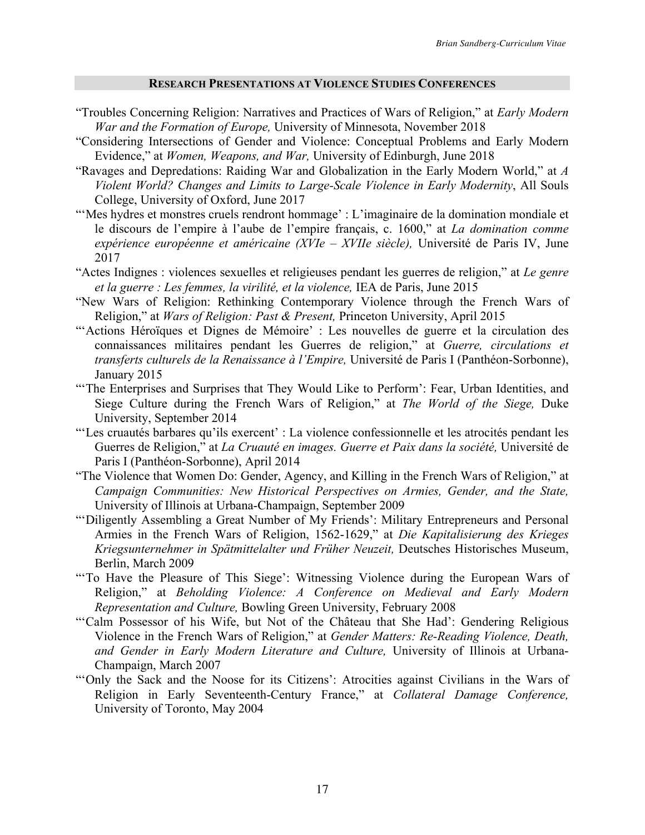### **RESEARCH PRESENTATIONS AT VIOLENCE STUDIES CONFERENCES**

- "Troubles Concerning Religion: Narratives and Practices of Wars of Religion," at *Early Modern War and the Formation of Europe,* University of Minnesota, November 2018
- "Considering Intersections of Gender and Violence: Conceptual Problems and Early Modern Evidence," at *Women, Weapons, and War,* University of Edinburgh, June 2018
- "Ravages and Depredations: Raiding War and Globalization in the Early Modern World," at *A Violent World? Changes and Limits to Large-Scale Violence in Early Modernity*, All Souls College, University of Oxford, June 2017
- "Mes hydres et monstres cruels rendront hommage' : L'imaginaire de la domination mondiale et le discours de l'empire à l'aube de l'empire français, c. 1600," at *La domination comme expérience européenne et américaine (XVIe – XVIIe siècle),* Université de Paris IV, June 2017
- "Actes Indignes : violences sexuelles et religieuses pendant les guerres de religion," at *Le genre et la guerre : Les femmes, la virilité, et la violence,* IEA de Paris, June 2015
- "New Wars of Religion: Rethinking Contemporary Violence through the French Wars of Religion," at *Wars of Religion: Past & Present,* Princeton University, April 2015
- "'Actions Héroïques et Dignes de Mémoire' : Les nouvelles de guerre et la circulation des connaissances militaires pendant les Guerres de religion," at *Guerre, circulations et transferts culturels de la Renaissance à l'Empire,* Université de Paris I (Panthéon-Sorbonne), January 2015
- "The Enterprises and Surprises that They Would Like to Perform': Fear, Urban Identities, and Siege Culture during the French Wars of Religion," at *The World of the Siege,* Duke University, September 2014
- "'Les cruautés barbares qu'ils exercent' : La violence confessionnelle et les atrocités pendant les Guerres de Religion," at *La Cruauté en images. Guerre et Paix dans la société,* Université de Paris I (Panthéon-Sorbonne), April 2014
- "The Violence that Women Do: Gender, Agency, and Killing in the French Wars of Religion," at *Campaign Communities: New Historical Perspectives on Armies, Gender, and the State,*  University of Illinois at Urbana-Champaign, September 2009
- "'Diligently Assembling a Great Number of My Friends': Military Entrepreneurs and Personal Armies in the French Wars of Religion, 1562-1629," at *Die Kapitalisierung des Krieges Kriegsunternehmer in Spätmittelalter und Früher Neuzeit,* Deutsches Historisches Museum, Berlin, March 2009
- "'To Have the Pleasure of This Siege': Witnessing Violence during the European Wars of Religion," at *Beholding Violence: A Conference on Medieval and Early Modern Representation and Culture,* Bowling Green University, February 2008
- "'Calm Possessor of his Wife, but Not of the Château that She Had': Gendering Religious Violence in the French Wars of Religion," at *Gender Matters: Re-Reading Violence, Death, and Gender in Early Modern Literature and Culture,* University of Illinois at Urbana-Champaign, March 2007
- "'Only the Sack and the Noose for its Citizens': Atrocities against Civilians in the Wars of Religion in Early Seventeenth-Century France," at *Collateral Damage Conference,* University of Toronto, May 2004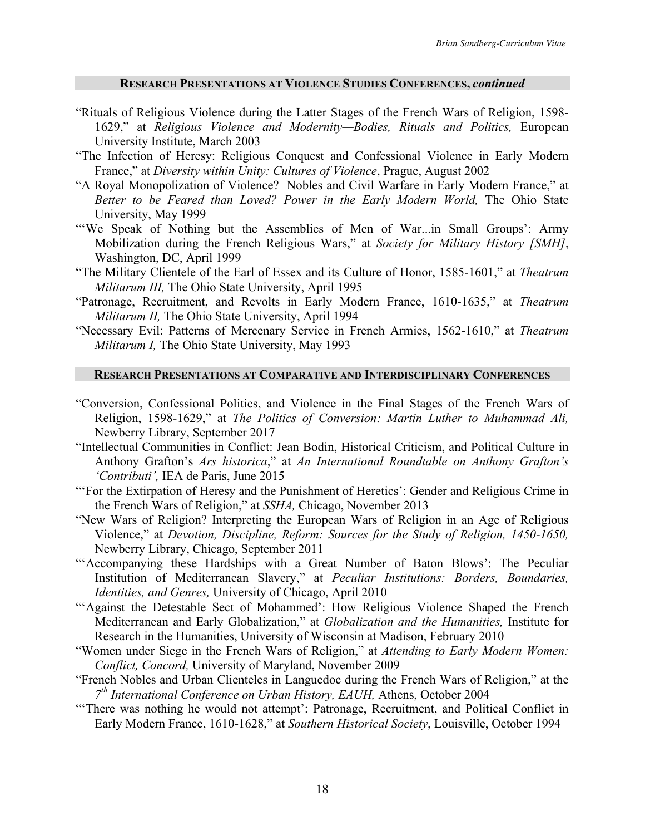#### **RESEARCH PRESENTATIONS AT VIOLENCE STUDIES CONFERENCES,** *continued*

- "Rituals of Religious Violence during the Latter Stages of the French Wars of Religion, 1598- 1629," at *Religious Violence and Modernity—Bodies, Rituals and Politics,* European University Institute, March 2003
- "The Infection of Heresy: Religious Conquest and Confessional Violence in Early Modern France," at *Diversity within Unity: Cultures of Violence*, Prague, August 2002
- "A Royal Monopolization of Violence? Nobles and Civil Warfare in Early Modern France," at *Better to be Feared than Loved? Power in the Early Modern World,* The Ohio State University, May 1999
- "'We Speak of Nothing but the Assemblies of Men of War...in Small Groups': Army Mobilization during the French Religious Wars," at *Society for Military History [SMH]*, Washington, DC, April 1999
- "The Military Clientele of the Earl of Essex and its Culture of Honor, 1585-1601," at *Theatrum Militarum III,* The Ohio State University, April 1995
- "Patronage, Recruitment, and Revolts in Early Modern France, 1610-1635," at *Theatrum Militarum II,* The Ohio State University, April 1994
- "Necessary Evil: Patterns of Mercenary Service in French Armies, 1562-1610," at *Theatrum Militarum I,* The Ohio State University, May 1993

# **RESEARCH PRESENTATIONS AT COMPARATIVE AND INTERDISCIPLINARY CONFERENCES**

- "Conversion, Confessional Politics, and Violence in the Final Stages of the French Wars of Religion, 1598-1629," at *The Politics of Conversion: Martin Luther to Muhammad Ali,* Newberry Library, September 2017
- "Intellectual Communities in Conflict: Jean Bodin, Historical Criticism, and Political Culture in Anthony Grafton's *Ars historica*," at *An International Roundtable on Anthony Grafton's 'Contributi',* IEA de Paris, June 2015
- "'For the Extirpation of Heresy and the Punishment of Heretics': Gender and Religious Crime in the French Wars of Religion," at *SSHA,* Chicago, November 2013
- "New Wars of Religion? Interpreting the European Wars of Religion in an Age of Religious Violence," at *Devotion, Discipline, Reform: Sources for the Study of Religion, 1450-1650,* Newberry Library, Chicago, September 2011
- "'Accompanying these Hardships with a Great Number of Baton Blows': The Peculiar Institution of Mediterranean Slavery," at *Peculiar Institutions: Borders, Boundaries, Identities, and Genres,* University of Chicago, April 2010
- "'Against the Detestable Sect of Mohammed': How Religious Violence Shaped the French Mediterranean and Early Globalization," at *Globalization and the Humanities,* Institute for Research in the Humanities, University of Wisconsin at Madison, February 2010
- "Women under Siege in the French Wars of Religion," at *Attending to Early Modern Women: Conflict, Concord,* University of Maryland, November 2009
- "French Nobles and Urban Clienteles in Languedoc during the French Wars of Religion," at the *7th International Conference on Urban History, EAUH,* Athens, October 2004
- "'There was nothing he would not attempt': Patronage, Recruitment, and Political Conflict in Early Modern France, 1610-1628," at *Southern Historical Society*, Louisville, October 1994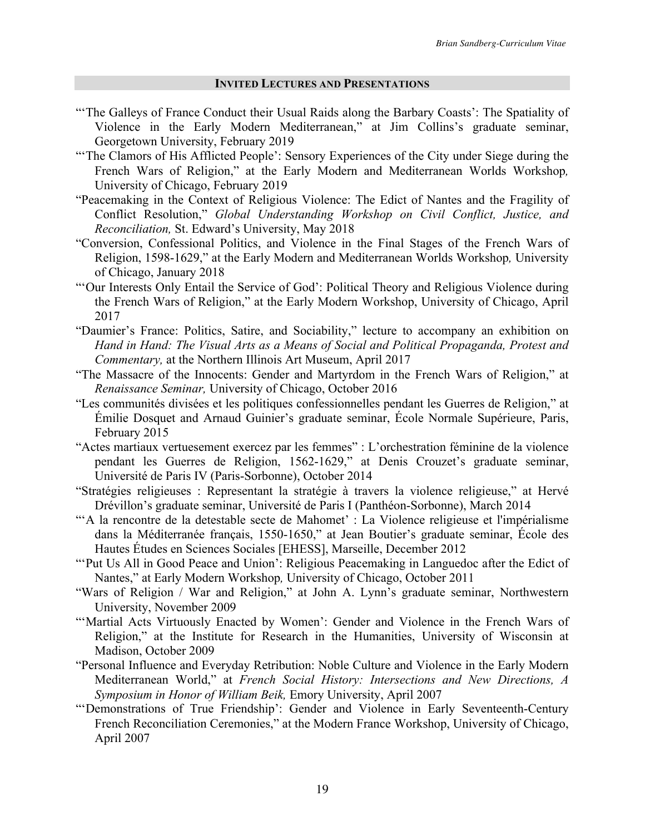#### **INVITED LECTURES AND PRESENTATIONS**

- "The Galleys of France Conduct their Usual Raids along the Barbary Coasts': The Spatiality of Violence in the Early Modern Mediterranean," at Jim Collins's graduate seminar, Georgetown University, February 2019
- "The Clamors of His Afflicted People': Sensory Experiences of the City under Siege during the French Wars of Religion," at the Early Modern and Mediterranean Worlds Workshop*,* University of Chicago, February 2019
- "Peacemaking in the Context of Religious Violence: The Edict of Nantes and the Fragility of Conflict Resolution," *Global Understanding Workshop on Civil Conflict, Justice, and Reconciliation,* St. Edward's University, May 2018
- "Conversion, Confessional Politics, and Violence in the Final Stages of the French Wars of Religion, 1598-1629," at the Early Modern and Mediterranean Worlds Workshop*,* University of Chicago, January 2018
- "'Our Interests Only Entail the Service of God': Political Theory and Religious Violence during the French Wars of Religion," at the Early Modern Workshop, University of Chicago, April 2017
- "Daumier's France: Politics, Satire, and Sociability," lecture to accompany an exhibition on *Hand in Hand: The Visual Arts as a Means of Social and Political Propaganda, Protest and Commentary,* at the Northern Illinois Art Museum, April 2017
- "The Massacre of the Innocents: Gender and Martyrdom in the French Wars of Religion," at *Renaissance Seminar,* University of Chicago, October 2016
- "Les communités divisées et les politiques confessionnelles pendant les Guerres de Religion," at Émilie Dosquet and Arnaud Guinier's graduate seminar, École Normale Supérieure, Paris, February 2015
- "Actes martiaux vertuesement exercez par les femmes" : L'orchestration féminine de la violence pendant les Guerres de Religion, 1562-1629," at Denis Crouzet's graduate seminar, Université de Paris IV (Paris-Sorbonne), October 2014
- "Stratégies religieuses : Representant la stratégie à travers la violence religieuse," at Hervé Drévillon's graduate seminar, Université de Paris I (Panthéon-Sorbonne), March 2014
- "'A la rencontre de la detestable secte de Mahomet' : La Violence religieuse et l'impérialisme dans la Méditerranée français, 1550-1650," at Jean Boutier's graduate seminar, École des Hautes Études en Sciences Sociales [EHESS], Marseille, December 2012
- "'Put Us All in Good Peace and Union': Religious Peacemaking in Languedoc after the Edict of Nantes," at Early Modern Workshop*,* University of Chicago, October 2011
- "Wars of Religion / War and Religion," at John A. Lynn's graduate seminar, Northwestern University, November 2009
- "'Martial Acts Virtuously Enacted by Women': Gender and Violence in the French Wars of Religion," at the Institute for Research in the Humanities, University of Wisconsin at Madison, October 2009
- "Personal Influence and Everyday Retribution: Noble Culture and Violence in the Early Modern Mediterranean World," at *French Social History: Intersections and New Directions, A Symposium in Honor of William Beik,* Emory University, April 2007
- "'Demonstrations of True Friendship': Gender and Violence in Early Seventeenth-Century French Reconciliation Ceremonies," at the Modern France Workshop, University of Chicago, April 2007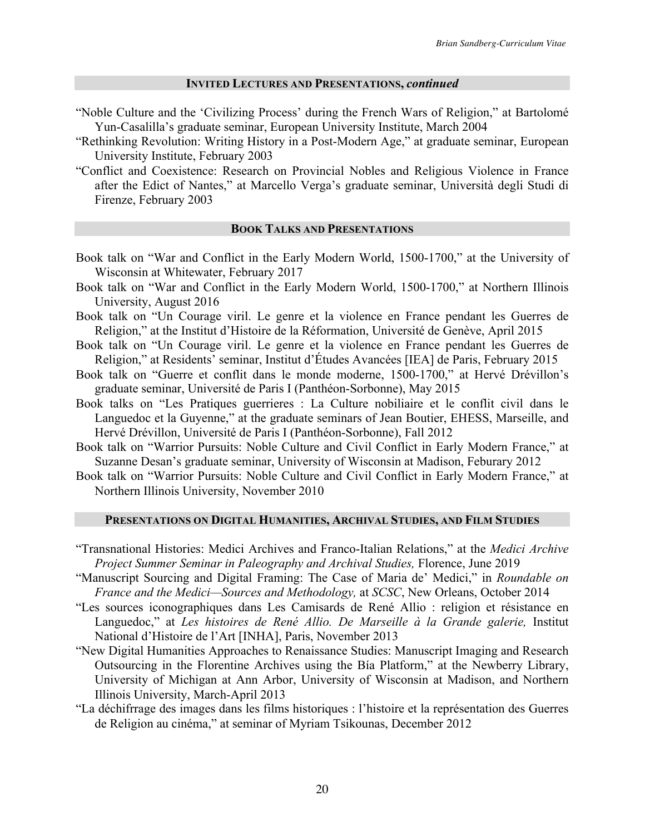### **INVITED LECTURES AND PRESENTATIONS,** *continued*

- "Noble Culture and the 'Civilizing Process' during the French Wars of Religion," at Bartolomé Yun-Casalilla's graduate seminar, European University Institute, March 2004
- "Rethinking Revolution: Writing History in a Post-Modern Age," at graduate seminar, European University Institute, February 2003
- "Conflict and Coexistence: Research on Provincial Nobles and Religious Violence in France after the Edict of Nantes," at Marcello Verga's graduate seminar, Università degli Studi di Firenze, February 2003

### **BOOK TALKS AND PRESENTATIONS**

- Book talk on "War and Conflict in the Early Modern World, 1500-1700," at the University of Wisconsin at Whitewater, February 2017
- Book talk on "War and Conflict in the Early Modern World, 1500-1700," at Northern Illinois University, August 2016
- Book talk on "Un Courage viril. Le genre et la violence en France pendant les Guerres de Religion," at the Institut d'Histoire de la Réformation, Université de Genève, April 2015
- Book talk on "Un Courage viril. Le genre et la violence en France pendant les Guerres de Religion," at Residents' seminar, Institut d'Études Avancées [IEA] de Paris, February 2015
- Book talk on "Guerre et conflit dans le monde moderne, 1500-1700," at Hervé Drévillon's graduate seminar, Université de Paris I (Panthéon-Sorbonne), May 2015
- Book talks on "Les Pratiques guerrieres : La Culture nobiliaire et le conflit civil dans le Languedoc et la Guyenne," at the graduate seminars of Jean Boutier, EHESS, Marseille, and Hervé Drévillon, Université de Paris I (Panthéon-Sorbonne), Fall 2012
- Book talk on "Warrior Pursuits: Noble Culture and Civil Conflict in Early Modern France," at Suzanne Desan's graduate seminar, University of Wisconsin at Madison, Feburary 2012
- Book talk on "Warrior Pursuits: Noble Culture and Civil Conflict in Early Modern France," at Northern Illinois University, November 2010

### **PRESENTATIONS ON DIGITAL HUMANITIES, ARCHIVAL STUDIES, AND FILM STUDIES**

- "Transnational Histories: Medici Archives and Franco-Italian Relations," at the *Medici Archive Project Summer Seminar in Paleography and Archival Studies,* Florence, June 2019
- "Manuscript Sourcing and Digital Framing: The Case of Maria de' Medici," in *Roundable on France and the Medici—Sources and Methodology,* at *SCSC*, New Orleans, October 2014
- "Les sources iconographiques dans Les Camisards de René Allio : religion et résistance en Languedoc," at *Les histoires de René Allio. De Marseille à la Grande galerie,* Institut National d'Histoire de l'Art [INHA], Paris, November 2013
- "New Digital Humanities Approaches to Renaissance Studies: Manuscript Imaging and Research Outsourcing in the Florentine Archives using the Bía Platform," at the Newberry Library, University of Michigan at Ann Arbor, University of Wisconsin at Madison, and Northern Illinois University, March-April 2013
- "La déchifrrage des images dans les films historiques : l'histoire et la représentation des Guerres de Religion au cinéma," at seminar of Myriam Tsikounas, December 2012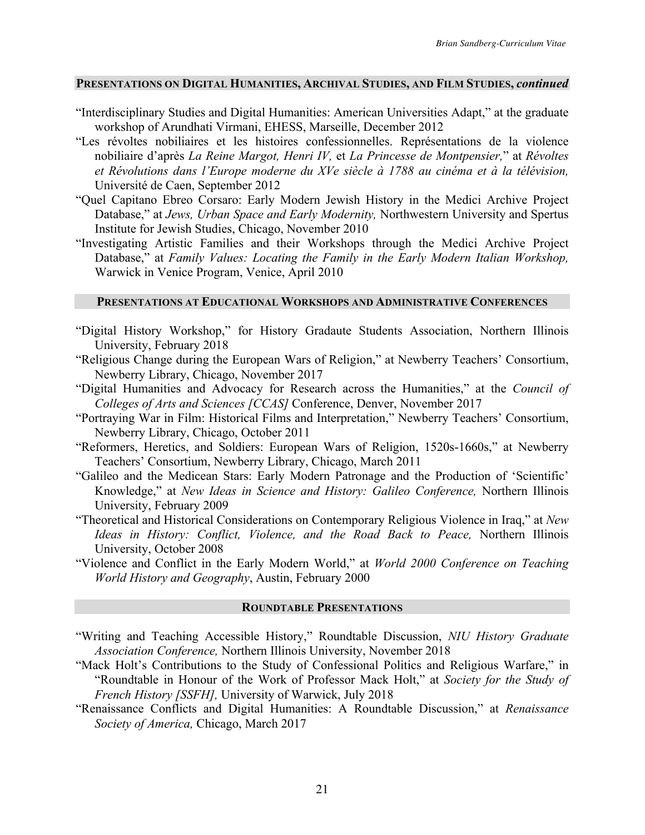#### **PRESENTATIONS ON DIGITAL HUMANITIES, ARCHIVAL STUDIES, AND FILM STUDIES,** *continued*

- "Interdisciplinary Studies and Digital Humanities: American Universities Adapt," at the graduate workshop of Arundhati Virmani, EHESS, Marseille, December 2012
- "Les révoltes nobiliaires et les histoires confessionnelles. Représentations de la violence nobiliaire d'après *La Reine Margot, Henri IV,* et *La Princesse de Montpensier,*" at *Révoltes et Révolutions dans l'Europe moderne du XVe siècle à 1788 au cinéma et à la télévision,* Université de Caen, September 2012
- "Quel Capitano Ebreo Corsaro: Early Modern Jewish History in the Medici Archive Project Database," at *Jews, Urban Space and Early Modernity,* Northwestern University and Spertus Institute for Jewish Studies, Chicago, November 2010
- "Investigating Artistic Families and their Workshops through the Medici Archive Project Database," at *Family Values: Locating the Family in the Early Modern Italian Workshop,*  Warwick in Venice Program, Venice, April 2010

### **PRESENTATIONS AT EDUCATIONAL WORKSHOPS AND ADMINISTRATIVE CONFERENCES**

- "Digital History Workshop," for History Gradaute Students Association, Northern Illinois University, February 2018
- "Religious Change during the European Wars of Religion," at Newberry Teachers' Consortium, Newberry Library, Chicago, November 2017
- "Digital Humanities and Advocacy for Research across the Humanities," at the *Council of Colleges of Arts and Sciences [CCAS]* Conference, Denver, November 2017
- "Portraying War in Film: Historical Films and Interpretation," Newberry Teachers' Consortium, Newberry Library, Chicago, October 2011
- "Reformers, Heretics, and Soldiers: European Wars of Religion, 1520s-1660s," at Newberry Teachers' Consortium, Newberry Library, Chicago, March 2011
- "Galileo and the Medicean Stars: Early Modern Patronage and the Production of 'Scientific' Knowledge," at *New Ideas in Science and History: Galileo Conference,* Northern Illinois University, February 2009
- "Theoretical and Historical Considerations on Contemporary Religious Violence in Iraq," at *New Ideas in History: Conflict, Violence, and the Road Back to Peace,* Northern Illinois University, October 2008
- "Violence and Conflict in the Early Modern World," at *World 2000 Conference on Teaching World History and Geography*, Austin, February 2000

#### **ROUNDTABLE PRESENTATIONS**

- "Writing and Teaching Accessible History," Roundtable Discussion, *NIU History Graduate Association Conference,* Northern Illinois University, November 2018
- "Mack Holt's Contributions to the Study of Confessional Politics and Religious Warfare," in "Roundtable in Honour of the Work of Professor Mack Holt," at *Society for the Study of French History [SSFH],* University of Warwick, July 2018
- "Renaissance Conflicts and Digital Humanities: A Roundtable Discussion," at *Renaissance Society of America,* Chicago, March 2017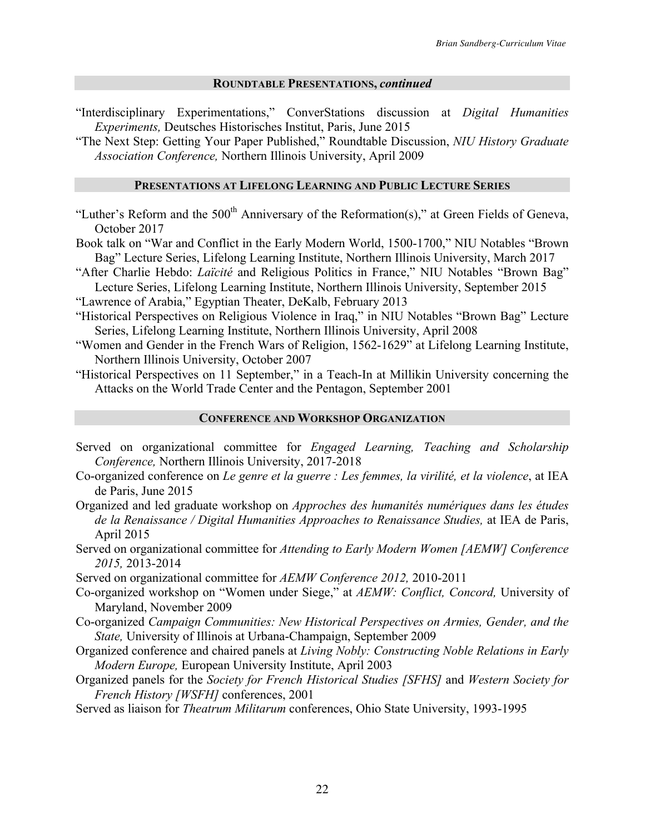#### **ROUNDTABLE PRESENTATIONS,** *continued*

"Interdisciplinary Experimentations," ConverStations discussion at *Digital Humanities Experiments,* Deutsches Historisches Institut, Paris, June 2015

"The Next Step: Getting Your Paper Published," Roundtable Discussion, *NIU History Graduate Association Conference,* Northern Illinois University, April 2009

#### **PRESENTATIONS AT LIFELONG LEARNING AND PUBLIC LECTURE SERIES**

- "Luther's Reform and the  $500<sup>th</sup>$  Anniversary of the Reformation(s)," at Green Fields of Geneva, October 2017
- Book talk on "War and Conflict in the Early Modern World, 1500-1700," NIU Notables "Brown Bag" Lecture Series, Lifelong Learning Institute, Northern Illinois University, March 2017
- "After Charlie Hebdo: *Laïcité* and Religious Politics in France," NIU Notables "Brown Bag" Lecture Series, Lifelong Learning Institute, Northern Illinois University, September 2015

"Lawrence of Arabia," Egyptian Theater, DeKalb, February 2013

- "Historical Perspectives on Religious Violence in Iraq," in NIU Notables "Brown Bag" Lecture Series, Lifelong Learning Institute, Northern Illinois University, April 2008
- "Women and Gender in the French Wars of Religion, 1562-1629" at Lifelong Learning Institute, Northern Illinois University, October 2007

"Historical Perspectives on 11 September," in a Teach-In at Millikin University concerning the Attacks on the World Trade Center and the Pentagon, September 2001

### **CONFERENCE AND WORKSHOP ORGANIZATION**

- Served on organizational committee for *Engaged Learning, Teaching and Scholarship Conference,* Northern Illinois University, 2017-2018
- Co-organized conference on *Le genre et la guerre : Les femmes, la virilité, et la violence*, at IEA de Paris, June 2015
- Organized and led graduate workshop on *Approches des humanités numériques dans les études de la Renaissance / Digital Humanities Approaches to Renaissance Studies,* at IEA de Paris, April 2015
- Served on organizational committee for *Attending to Early Modern Women [AEMW] Conference 2015,* 2013-2014

Served on organizational committee for *AEMW Conference 2012,* 2010-2011

- Co-organized workshop on "Women under Siege," at *AEMW: Conflict, Concord,* University of Maryland, November 2009
- Co-organized *Campaign Communities: New Historical Perspectives on Armies, Gender, and the State,* University of Illinois at Urbana-Champaign, September 2009
- Organized conference and chaired panels at *Living Nobly: Constructing Noble Relations in Early Modern Europe,* European University Institute, April 2003
- Organized panels for the *Society for French Historical Studies [SFHS]* and *Western Society for French History [WSFH]* conferences, 2001

Served as liaison for *Theatrum Militarum* conferences, Ohio State University, 1993-1995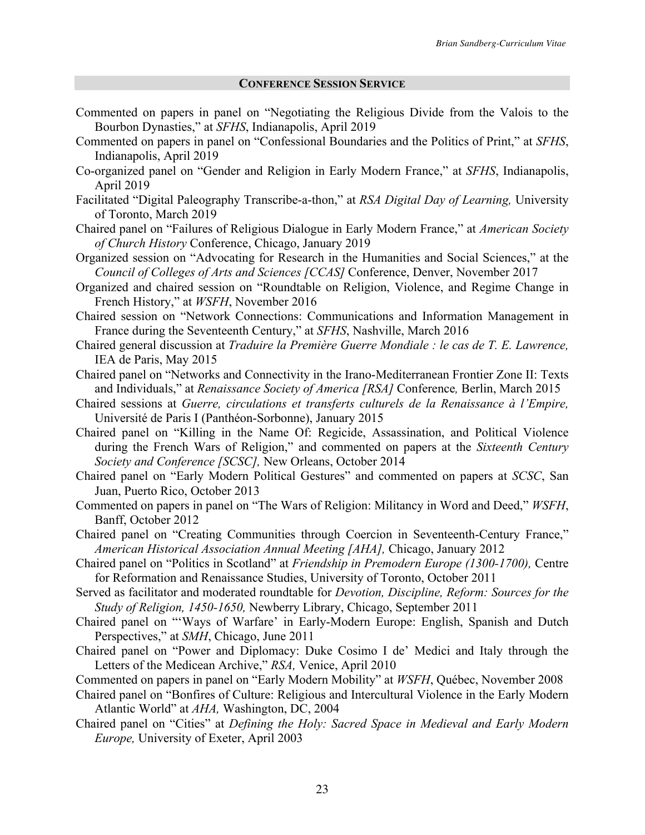### **CONFERENCE SESSION SERVICE**

- Commented on papers in panel on "Negotiating the Religious Divide from the Valois to the Bourbon Dynasties," at *SFHS*, Indianapolis, April 2019
- Commented on papers in panel on "Confessional Boundaries and the Politics of Print," at *SFHS*, Indianapolis, April 2019
- Co-organized panel on "Gender and Religion in Early Modern France," at *SFHS*, Indianapolis, April 2019
- Facilitated "Digital Paleography Transcribe-a-thon," at *RSA Digital Day of Learning,* University of Toronto, March 2019
- Chaired panel on "Failures of Religious Dialogue in Early Modern France," at *American Society of Church History* Conference, Chicago, January 2019
- Organized session on "Advocating for Research in the Humanities and Social Sciences," at the *Council of Colleges of Arts and Sciences [CCAS]* Conference, Denver, November 2017
- Organized and chaired session on "Roundtable on Religion, Violence, and Regime Change in French History," at *WSFH*, November 2016
- Chaired session on "Network Connections: Communications and Information Management in France during the Seventeenth Century," at *SFHS*, Nashville, March 2016
- Chaired general discussion at *Traduire la Première Guerre Mondiale : le cas de T. E. Lawrence,*  IEA de Paris, May 2015
- Chaired panel on "Networks and Connectivity in the Irano-Mediterranean Frontier Zone II: Texts and Individuals," at *Renaissance Society of America [RSA]* Conference*,* Berlin, March 2015
- Chaired sessions at *Guerre, circulations et transferts culturels de la Renaissance à l'Empire,* Université de Paris I (Panthéon-Sorbonne), January 2015
- Chaired panel on "Killing in the Name Of: Regicide, Assassination, and Political Violence during the French Wars of Religion," and commented on papers at the *Sixteenth Century Society and Conference [SCSC],* New Orleans, October 2014
- Chaired panel on "Early Modern Political Gestures" and commented on papers at *SCSC*, San Juan, Puerto Rico, October 2013
- Commented on papers in panel on "The Wars of Religion: Militancy in Word and Deed," *WSFH*, Banff, October 2012
- Chaired panel on "Creating Communities through Coercion in Seventeenth-Century France," *American Historical Association Annual Meeting [AHA],* Chicago, January 2012
- Chaired panel on "Politics in Scotland" at *Friendship in Premodern Europe (1300-1700),* Centre for Reformation and Renaissance Studies, University of Toronto, October 2011
- Served as facilitator and moderated roundtable for *Devotion, Discipline, Reform: Sources for the Study of Religion, 1450-1650,* Newberry Library, Chicago, September 2011
- Chaired panel on "'Ways of Warfare' in Early-Modern Europe: English, Spanish and Dutch Perspectives," at *SMH*, Chicago, June 2011
- Chaired panel on "Power and Diplomacy: Duke Cosimo I de' Medici and Italy through the Letters of the Medicean Archive," *RSA,* Venice, April 2010
- Commented on papers in panel on "Early Modern Mobility" at *WSFH*, Québec, November 2008
- Chaired panel on "Bonfires of Culture: Religious and Intercultural Violence in the Early Modern Atlantic World" at *AHA,* Washington, DC, 2004
- Chaired panel on "Cities" at *Defining the Holy: Sacred Space in Medieval and Early Modern Europe,* University of Exeter, April 2003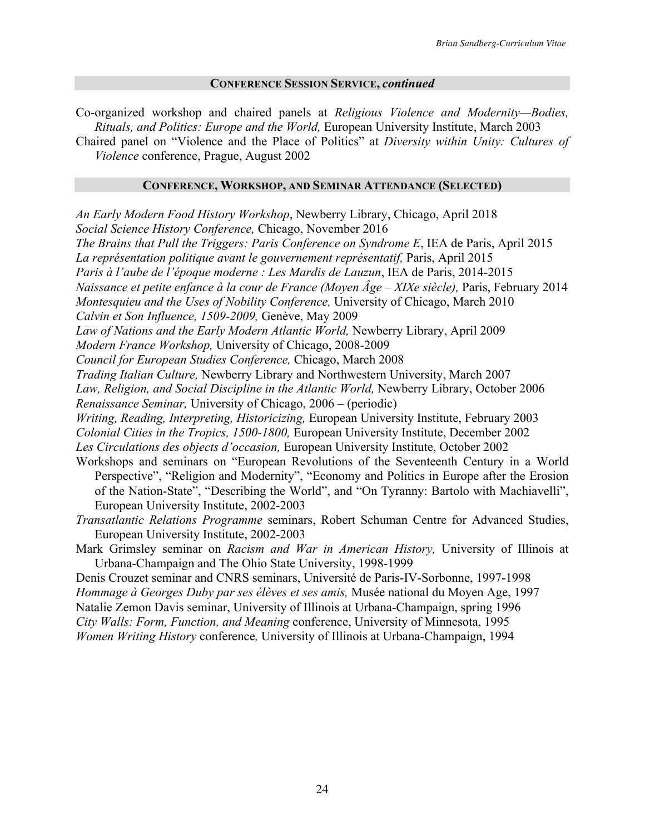### **CONFERENCE SESSION SERVICE,** *continued*

Co-organized workshop and chaired panels at *Religious Violence and Modernity—Bodies, Rituals, and Politics: Europe and the World,* European University Institute, March 2003

Chaired panel on "Violence and the Place of Politics" at *Diversity within Unity: Cultures of Violence* conference, Prague, August 2002

#### **CONFERENCE, WORKSHOP, AND SEMINAR ATTENDANCE (SELECTED)**

*An Early Modern Food History Workshop*, Newberry Library, Chicago, April 2018 *Social Science History Conference,* Chicago, November 2016 *The Brains that Pull the Triggers: Paris Conference on Syndrome E*, IEA de Paris, April 2015 La représentation politique avant le gouvernement représentatif, Paris, April 2015 *Paris à l'aube de l'époque moderne : Les Mardis de Lauzun*, IEA de Paris, 2014-2015 *Naissance et petite enfance à la cour de France (Moyen Âge – XIXe siècle),* Paris, February 2014 *Montesquieu and the Uses of Nobility Conference,* University of Chicago, March 2010 *Calvin et Son Influence, 1509-2009,* Genève, May 2009 Law of Nations and the Early Modern Atlantic World, Newberry Library, April 2009 *Modern France Workshop,* University of Chicago, 2008-2009 *Council for European Studies Conference,* Chicago, March 2008 *Trading Italian Culture,* Newberry Library and Northwestern University, March 2007 Law, Religion, and Social Discipline in the Atlantic World, Newberry Library, October 2006 *Renaissance Seminar,* University of Chicago, 2006 – (periodic) *Writing, Reading, Interpreting, Historicizing,* European University Institute, February 2003 *Colonial Cities in the Tropics, 1500-1800,* European University Institute, December 2002 *Les Circulations des objects d'occasion,* European University Institute, October 2002 Workshops and seminars on "European Revolutions of the Seventeenth Century in a World Perspective", "Religion and Modernity", "Economy and Politics in Europe after the Erosion of the Nation-State", "Describing the World", and "On Tyranny: Bartolo with Machiavelli", European University Institute, 2002-2003 *Transatlantic Relations Programme* seminars, Robert Schuman Centre for Advanced Studies, European University Institute, 2002-2003 Mark Grimsley seminar on *Racism and War in American History,* University of Illinois at

Urbana-Champaign and The Ohio State University, 1998-1999 Denis Crouzet seminar and CNRS seminars, Université de Paris-IV-Sorbonne, 1997-1998 *Hommage à Georges Duby par ses élèves et ses amis,* Musée national du Moyen Age, 1997 Natalie Zemon Davis seminar, University of Illinois at Urbana-Champaign, spring 1996 *City Walls: Form, Function, and Meaning* conference, University of Minnesota, 1995 *Women Writing History* conference*,* University of Illinois at Urbana-Champaign, 1994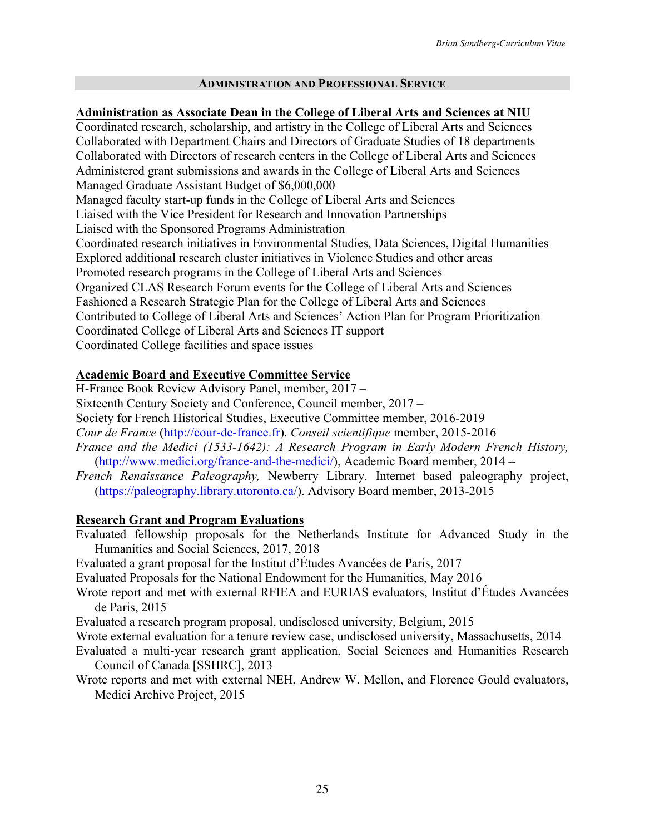## **ADMINISTRATION AND PROFESSIONAL SERVICE**

**Administration as Associate Dean in the College of Liberal Arts and Sciences at NIU** Coordinated research, scholarship, and artistry in the College of Liberal Arts and Sciences Collaborated with Department Chairs and Directors of Graduate Studies of 18 departments Collaborated with Directors of research centers in the College of Liberal Arts and Sciences Administered grant submissions and awards in the College of Liberal Arts and Sciences Managed Graduate Assistant Budget of \$6,000,000 Managed faculty start-up funds in the College of Liberal Arts and Sciences Liaised with the Vice President for Research and Innovation Partnerships Liaised with the Sponsored Programs Administration Coordinated research initiatives in Environmental Studies, Data Sciences, Digital Humanities Explored additional research cluster initiatives in Violence Studies and other areas Promoted research programs in the College of Liberal Arts and Sciences Organized CLAS Research Forum events for the College of Liberal Arts and Sciences Fashioned a Research Strategic Plan for the College of Liberal Arts and Sciences Contributed to College of Liberal Arts and Sciences' Action Plan for Program Prioritization Coordinated College of Liberal Arts and Sciences IT support Coordinated College facilities and space issues

## **Academic Board and Executive Committee Service**

H-France Book Review Advisory Panel, member, 2017 –

Sixteenth Century Society and Conference, Council member, 2017 –

Society for French Historical Studies, Executive Committee member, 2016-2019

*Cour de France* (http://cour-de-france.fr). *Conseil scientifique* member, 2015-2016

- *France and the Medici (1533-1642): A Research Program in Early Modern French History,* (http://www.medici.org/france-and-the-medici/), Academic Board member, 2014 –
- *French Renaissance Paleography,* Newberry Library*.* Internet based paleography project, (https://paleography.library.utoronto.ca/). Advisory Board member, 2013-2015

## **Research Grant and Program Evaluations**

Evaluated fellowship proposals for the Netherlands Institute for Advanced Study in the Humanities and Social Sciences, 2017, 2018

Evaluated a grant proposal for the Institut d'Études Avancées de Paris, 2017

Evaluated Proposals for the National Endowment for the Humanities, May 2016

Wrote report and met with external RFIEA and EURIAS evaluators, Institut d'Études Avancées de Paris, 2015

Evaluated a research program proposal, undisclosed university, Belgium, 2015

- Wrote external evaluation for a tenure review case, undisclosed university, Massachusetts, 2014
- Evaluated a multi-year research grant application, Social Sciences and Humanities Research Council of Canada [SSHRC], 2013
- Wrote reports and met with external NEH, Andrew W. Mellon, and Florence Gould evaluators, Medici Archive Project, 2015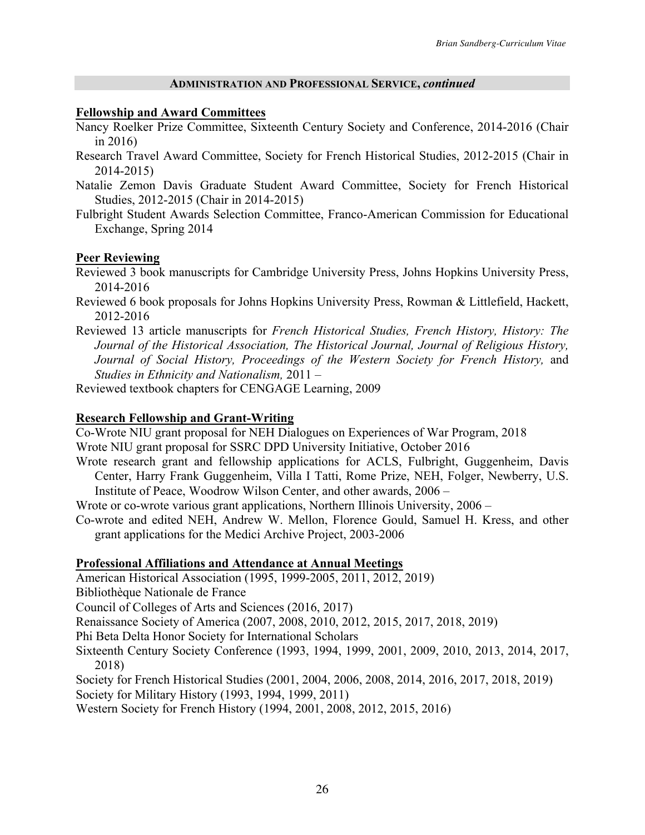### **ADMINISTRATION AND PROFESSIONAL SERVICE,** *continued*

## **Fellowship and Award Committees**

- Nancy Roelker Prize Committee, Sixteenth Century Society and Conference, 2014-2016 (Chair in 2016)
- Research Travel Award Committee, Society for French Historical Studies, 2012-2015 (Chair in 2014-2015)
- Natalie Zemon Davis Graduate Student Award Committee, Society for French Historical Studies, 2012-2015 (Chair in 2014-2015)
- Fulbright Student Awards Selection Committee, Franco-American Commission for Educational Exchange, Spring 2014

# **Peer Reviewing**

- Reviewed 3 book manuscripts for Cambridge University Press, Johns Hopkins University Press, 2014-2016
- Reviewed 6 book proposals for Johns Hopkins University Press, Rowman & Littlefield, Hackett, 2012-2016
- Reviewed 13 article manuscripts for *French Historical Studies, French History, History: The Journal of the Historical Association, The Historical Journal, Journal of Religious History,*  Journal of Social History, Proceedings of the Western Society for French History, and *Studies in Ethnicity and Nationalism,* 2011 –

Reviewed textbook chapters for CENGAGE Learning, 2009

# **Research Fellowship and Grant-Writing**

Co-Wrote NIU grant proposal for NEH Dialogues on Experiences of War Program, 2018

- Wrote NIU grant proposal for SSRC DPD University Initiative, October 2016
- Wrote research grant and fellowship applications for ACLS, Fulbright, Guggenheim, Davis Center, Harry Frank Guggenheim, Villa I Tatti, Rome Prize, NEH, Folger, Newberry, U.S. Institute of Peace, Woodrow Wilson Center, and other awards, 2006 –

Wrote or co-wrote various grant applications, Northern Illinois University, 2006 –

Co-wrote and edited NEH, Andrew W. Mellon, Florence Gould, Samuel H. Kress, and other grant applications for the Medici Archive Project, 2003-2006

## **Professional Affiliations and Attendance at Annual Meetings**

American Historical Association (1995, 1999-2005, 2011, 2012, 2019)

Bibliothèque Nationale de France

Council of Colleges of Arts and Sciences (2016, 2017)

Renaissance Society of America (2007, 2008, 2010, 2012, 2015, 2017, 2018, 2019)

Phi Beta Delta Honor Society for International Scholars

- Sixteenth Century Society Conference (1993, 1994, 1999, 2001, 2009, 2010, 2013, 2014, 2017, 2018)
- Society for French Historical Studies (2001, 2004, 2006, 2008, 2014, 2016, 2017, 2018, 2019)

Society for Military History (1993, 1994, 1999, 2011)

Western Society for French History (1994, 2001, 2008, 2012, 2015, 2016)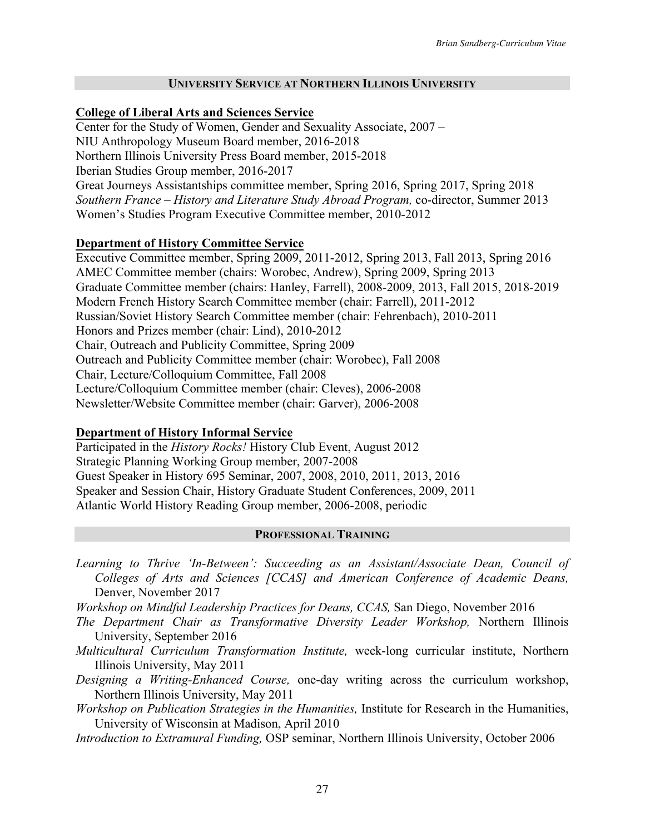### **UNIVERSITY SERVICE AT NORTHERN ILLINOIS UNIVERSITY**

## **College of Liberal Arts and Sciences Service**

Center for the Study of Women, Gender and Sexuality Associate, 2007 – NIU Anthropology Museum Board member, 2016-2018 Northern Illinois University Press Board member, 2015-2018 Iberian Studies Group member, 2016-2017 Great Journeys Assistantships committee member, Spring 2016, Spring 2017, Spring 2018 *Southern France – History and Literature Study Abroad Program,* co-director, Summer 2013 Women's Studies Program Executive Committee member, 2010-2012

# **Department of History Committee Service**

Executive Committee member, Spring 2009, 2011-2012, Spring 2013, Fall 2013, Spring 2016 AMEC Committee member (chairs: Worobec, Andrew), Spring 2009, Spring 2013 Graduate Committee member (chairs: Hanley, Farrell), 2008-2009, 2013, Fall 2015, 2018-2019 Modern French History Search Committee member (chair: Farrell), 2011-2012 Russian/Soviet History Search Committee member (chair: Fehrenbach), 2010-2011 Honors and Prizes member (chair: Lind), 2010-2012 Chair, Outreach and Publicity Committee, Spring 2009 Outreach and Publicity Committee member (chair: Worobec), Fall 2008 Chair, Lecture/Colloquium Committee, Fall 2008 Lecture/Colloquium Committee member (chair: Cleves), 2006-2008 Newsletter/Website Committee member (chair: Garver), 2006-2008

## **Department of History Informal Service**

Participated in the *History Rocks!* History Club Event, August 2012 Strategic Planning Working Group member, 2007-2008 Guest Speaker in History 695 Seminar, 2007, 2008, 2010, 2011, 2013, 2016 Speaker and Session Chair, History Graduate Student Conferences, 2009, 2011 Atlantic World History Reading Group member, 2006-2008, periodic

## **PROFESSIONAL TRAINING**

- *Learning to Thrive 'In-Between': Succeeding as an Assistant/Associate Dean, Council of Colleges of Arts and Sciences [CCAS] and American Conference of Academic Deans,*  Denver, November 2017
- *Workshop on Mindful Leadership Practices for Deans, CCAS,* San Diego, November 2016
- *The Department Chair as Transformative Diversity Leader Workshop,* Northern Illinois University, September 2016
- *Multicultural Curriculum Transformation Institute,* week-long curricular institute, Northern Illinois University, May 2011
- *Designing a Writing-Enhanced Course,* one-day writing across the curriculum workshop, Northern Illinois University, May 2011
- *Workshop on Publication Strategies in the Humanities,* Institute for Research in the Humanities, University of Wisconsin at Madison, April 2010
- *Introduction to Extramural Funding,* OSP seminar, Northern Illinois University, October 2006